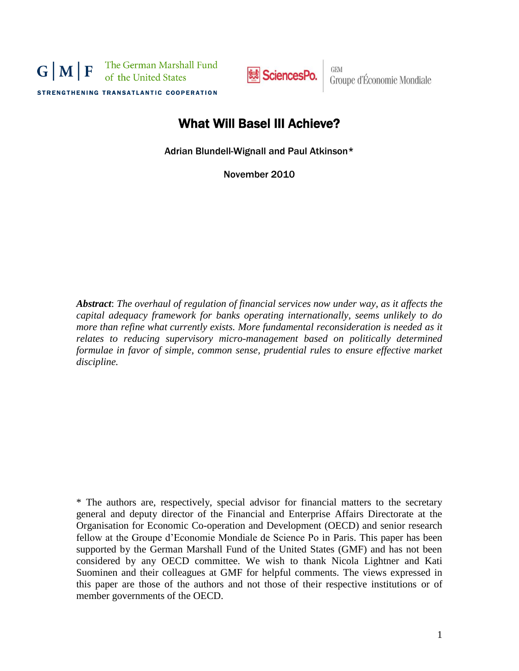The German Marshall Fund  $G|M|F$ of the United States



GEM<br>Groupe d'Économie Mondiale

STRENGTHENING TRANSATLANTIC COOPERATION

# What Will Basel III Achieve?

Adrian Blundell-Wignall and Paul Atkinson\*

November 2010

*Abstract*: *The overhaul of regulation of financial services now under way, as it affects the capital adequacy framework for banks operating internationally, seems unlikely to do more than refine what currently exists. More fundamental reconsideration is needed as it relates to reducing supervisory micro-management based on politically determined formulae in favor of simple, common sense, prudential rules to ensure effective market discipline.*

\* The authors are, respectively, special advisor for financial matters to the secretary general and deputy director of the Financial and Enterprise Affairs Directorate at the Organisation for Economic Co-operation and Development (OECD) and senior research fellow at the Groupe d'Economie Mondiale de Science Po in Paris. This paper has been supported by the German Marshall Fund of the United States (GMF) and has not been considered by any OECD committee. We wish to thank Nicola Lightner and Kati Suominen and their colleagues at GMF for helpful comments. The views expressed in this paper are those of the authors and not those of their respective institutions or of member governments of the OECD.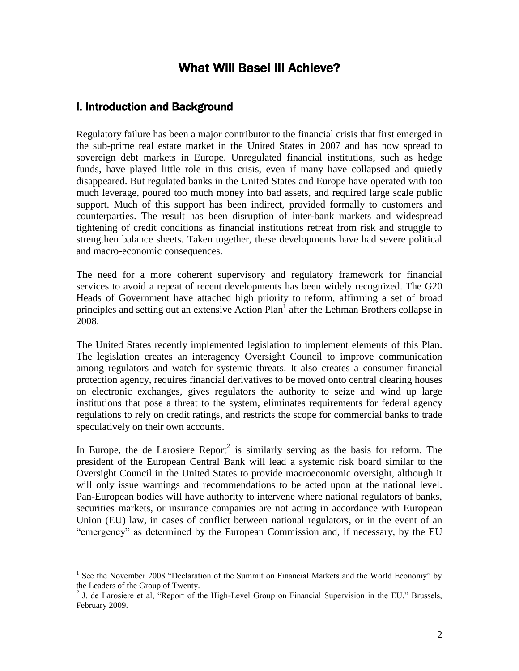# What Will Basel III Achieve?

## I. Introduction and Background

 $\overline{a}$ 

Regulatory failure has been a major contributor to the financial crisis that first emerged in the sub-prime real estate market in the United States in 2007 and has now spread to sovereign debt markets in Europe. Unregulated financial institutions, such as hedge funds, have played little role in this crisis, even if many have collapsed and quietly disappeared. But regulated banks in the United States and Europe have operated with too much leverage, poured too much money into bad assets, and required large scale public support. Much of this support has been indirect, provided formally to customers and counterparties. The result has been disruption of inter-bank markets and widespread tightening of credit conditions as financial institutions retreat from risk and struggle to strengthen balance sheets. Taken together, these developments have had severe political and macro-economic consequences.

The need for a more coherent supervisory and regulatory framework for financial services to avoid a repeat of recent developments has been widely recognized. The G20 Heads of Government have attached high priority to reform, affirming a set of broad principles and setting out an extensive Action Plan<sup>1</sup> after the Lehman Brothers collapse in 2008.

The United States recently implemented legislation to implement elements of this Plan. The legislation creates an interagency Oversight Council to improve communication among regulators and watch for systemic threats. It also creates a consumer financial protection agency, requires financial derivatives to be moved onto central clearing houses on electronic exchanges, gives regulators the authority to seize and wind up large institutions that pose a threat to the system, eliminates requirements for federal agency regulations to rely on credit ratings, and restricts the scope for commercial banks to trade speculatively on their own accounts.

In Europe, the de Larosiere Report<sup>2</sup> is similarly serving as the basis for reform. The president of the European Central Bank will lead a systemic risk board similar to the Oversight Council in the United States to provide macroeconomic oversight, although it will only issue warnings and recommendations to be acted upon at the national level. Pan-European bodies will have authority to intervene where national regulators of banks, securities markets, or insurance companies are not acting in accordance with European Union (EU) law, in cases of conflict between national regulators, or in the event of an "emergency" as determined by the European Commission and, if necessary, by the EU

<sup>&</sup>lt;sup>1</sup> See the November 2008 "Declaration of the Summit on Financial Markets and the World Economy" by the Leaders of the Group of Twenty.

 $<sup>2</sup>$  J. de Larosiere et al, "Report of the High-Level Group on Financial Supervision in the EU," Brussels,</sup> February 2009.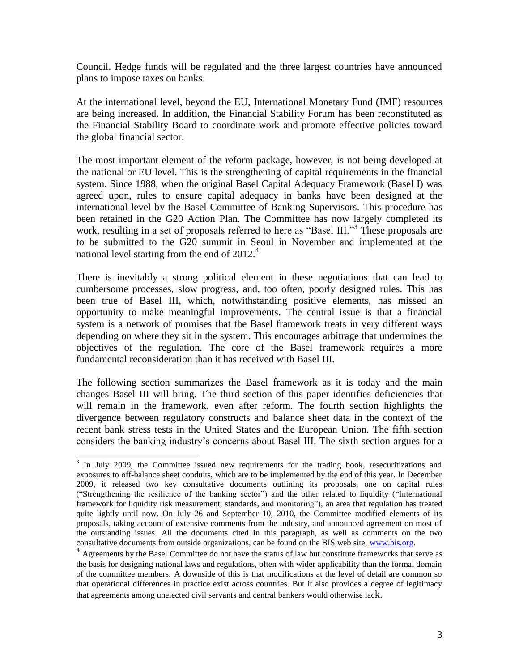Council. Hedge funds will be regulated and the three largest countries have announced plans to impose taxes on banks.

At the international level, beyond the EU, International Monetary Fund (IMF) resources are being increased. In addition, the Financial Stability Forum has been reconstituted as the Financial Stability Board to coordinate work and promote effective policies toward the global financial sector.

The most important element of the reform package, however, is not being developed at the national or EU level. This is the strengthening of capital requirements in the financial system. Since 1988, when the original Basel Capital Adequacy Framework (Basel I) was agreed upon, rules to ensure capital adequacy in banks have been designed at the international level by the Basel Committee of Banking Supervisors. This procedure has been retained in the G20 Action Plan. The Committee has now largely completed its work, resulting in a set of proposals referred to here as "Basel III."<sup>3</sup> These proposals are to be submitted to the G20 summit in Seoul in November and implemented at the national level starting from the end of 2012.<sup>4</sup>

There is inevitably a strong political element in these negotiations that can lead to cumbersome processes, slow progress, and, too often, poorly designed rules. This has been true of Basel III, which, notwithstanding positive elements, has missed an opportunity to make meaningful improvements. The central issue is that a financial system is a network of promises that the Basel framework treats in very different ways depending on where they sit in the system. This encourages arbitrage that undermines the objectives of the regulation. The core of the Basel framework requires a more fundamental reconsideration than it has received with Basel III.

The following section summarizes the Basel framework as it is today and the main changes Basel III will bring. The third section of this paper identifies deficiencies that will remain in the framework, even after reform. The fourth section highlights the divergence between regulatory constructs and balance sheet data in the context of the recent bank stress tests in the United States and the European Union. The fifth section considers the banking industry's concerns about Basel III. The sixth section argues for a

<sup>&</sup>lt;sup>3</sup> In July 2009, the Committee issued new requirements for the trading book, resecuritizations and exposures to off-balance sheet conduits, which are to be implemented by the end of this year. In December 2009, it released two key consultative documents outlining its proposals, one on capital rules ("Strengthening the resilience of the banking sector") and the other related to liquidity ("International framework for liquidity risk measurement, standards, and monitoring"), an area that regulation has treated quite lightly until now. On July 26 and September 10, 2010, the Committee modified elements of its proposals, taking account of extensive comments from the industry, and announced agreement on most of the outstanding issues. All the documents cited in this paragraph, as well as comments on the two consultative documents from outside organizations, can be found on the BIS web site, [www.bis.org.](http://www.bis.org/)

<sup>&</sup>lt;sup>4</sup> Agreements by the Basel Committee do not have the status of law but constitute frameworks that serve as the basis for designing national laws and regulations, often with wider applicability than the formal domain of the committee members. A downside of this is that modifications at the level of detail are common so that operational differences in practice exist across countries. But it also provides a degree of legitimacy that agreements among unelected civil servants and central bankers would otherwise lack.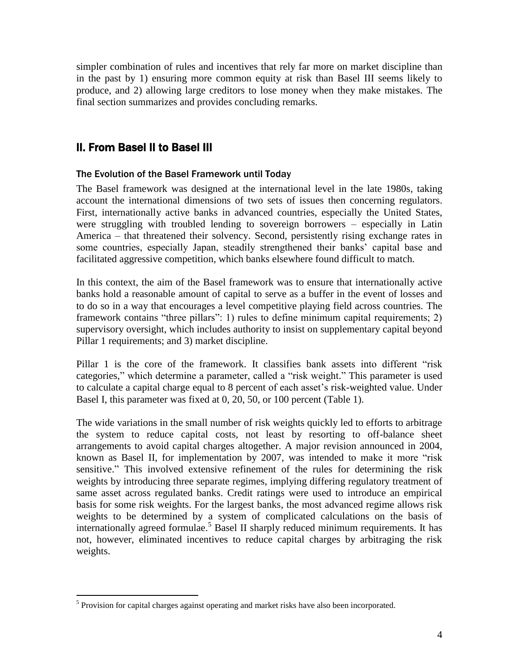simpler combination of rules and incentives that rely far more on market discipline than in the past by 1) ensuring more common equity at risk than Basel III seems likely to produce, and 2) allowing large creditors to lose money when they make mistakes. The final section summarizes and provides concluding remarks.

# II. From Basel II to Basel III

 $\overline{a}$ 

#### The Evolution of the Basel Framework until Today

The Basel framework was designed at the international level in the late 1980s, taking account the international dimensions of two sets of issues then concerning regulators. First, internationally active banks in advanced countries, especially the United States, were struggling with troubled lending to sovereign borrowers – especially in Latin America – that threatened their solvency. Second, persistently rising exchange rates in some countries, especially Japan, steadily strengthened their banks' capital base and facilitated aggressive competition, which banks elsewhere found difficult to match.

In this context, the aim of the Basel framework was to ensure that internationally active banks hold a reasonable amount of capital to serve as a buffer in the event of losses and to do so in a way that encourages a level competitive playing field across countries. The framework contains "three pillars": 1) rules to define minimum capital requirements; 2) supervisory oversight, which includes authority to insist on supplementary capital beyond Pillar 1 requirements; and 3) market discipline.

Pillar 1 is the core of the framework. It classifies bank assets into different "risk categories," which determine a parameter, called a "risk weight." This parameter is used to calculate a capital charge equal to 8 percent of each asset's risk-weighted value. Under Basel I, this parameter was fixed at 0, 20, 50, or 100 percent (Table 1).

The wide variations in the small number of risk weights quickly led to efforts to arbitrage the system to reduce capital costs, not least by resorting to off-balance sheet arrangements to avoid capital charges altogether. A major revision announced in 2004, known as Basel II, for implementation by 2007, was intended to make it more "risk sensitive." This involved extensive refinement of the rules for determining the risk weights by introducing three separate regimes, implying differing regulatory treatment of same asset across regulated banks. Credit ratings were used to introduce an empirical basis for some risk weights. For the largest banks, the most advanced regime allows risk weights to be determined by a system of complicated calculations on the basis of internationally agreed formulae. <sup>5</sup> Basel II sharply reduced minimum requirements. It has not, however, eliminated incentives to reduce capital charges by arbitraging the risk weights.

 $<sup>5</sup>$  Provision for capital charges against operating and market risks have also been incorporated.</sup>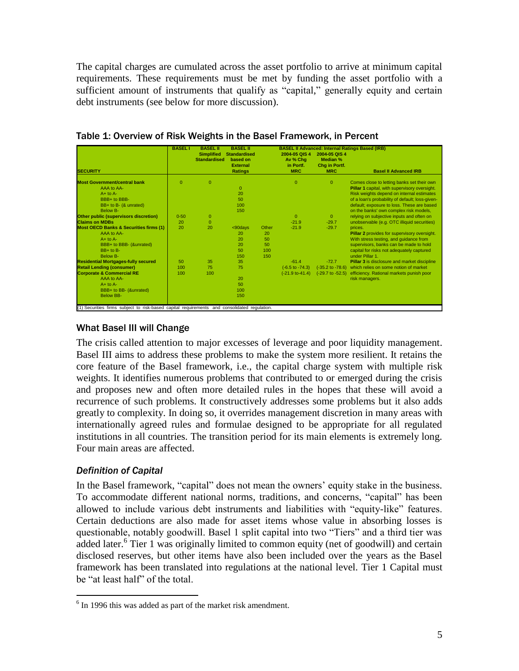The capital charges are cumulated across the asset portfolio to arrive at minimum capital requirements. These requirements must be met by funding the asset portfolio with a sufficient amount of instruments that qualify as "capital," generally equity and certain debt instruments (see below for more discussion).

|                                                   | <b>BASEL I</b> | <b>BASEL II</b>                          | <b>BASEL II</b>                                                      |       |                                                      |                                                                 | <b>BASEL II Advanced: Internal Ratings Based (IRB)</b> |
|---------------------------------------------------|----------------|------------------------------------------|----------------------------------------------------------------------|-------|------------------------------------------------------|-----------------------------------------------------------------|--------------------------------------------------------|
| <b>SECURITY</b>                                   |                | <b>Simplified</b><br><b>Standardised</b> | <b>Standardised</b><br>based on<br><b>External</b><br><b>Ratings</b> |       | 2004-05 QIS 4<br>Av % Cha<br>in Portf.<br><b>MRC</b> | 2004-05 QIS 4<br><b>Median %</b><br>Chg in Portf.<br><b>MRC</b> | <b>Basel II Advanced IRB</b>                           |
| <b>Most Government/central bank</b>               | $\mathbf{0}$   | $\mathbf{0}$                             |                                                                      |       | $\mathbf{0}$                                         | $\mathbf{0}$                                                    | Comes close to letting banks set their own             |
| AAA to AA-                                        |                |                                          | $\Omega$                                                             |       |                                                      |                                                                 | Pillar 1 capital, with supervisory oversight.          |
| $A+$ to $A-$                                      |                |                                          | 20                                                                   |       |                                                      |                                                                 | Risk weights depend on internal estimates              |
| BBB+ to BBB-                                      |                |                                          | 50                                                                   |       |                                                      |                                                                 | of a loan's probability of default; loss-given-        |
| BB+ to B- (& unrated)                             |                |                                          | 100                                                                  |       |                                                      |                                                                 | default; exposure to loss. These are based             |
| Below B-                                          |                |                                          | 150                                                                  |       |                                                      |                                                                 | on the banks' own complex risk models,                 |
| Other public (supervisors discretion)             | $0 - 50$       | $\Omega$                                 |                                                                      |       | $\Omega$                                             | $\overline{0}$                                                  | relying on subjective inputs and often on              |
| <b>Claims on MDBs</b>                             | 20             | $\mathbf{0}$                             |                                                                      |       | $-21.9$                                              | $-29.7$                                                         | unobservable (e.g. OTC illiquid securities)            |
| <b>Most OECD Banks &amp; Securities firms (1)</b> | 20             | 20                                       | $<90$ davs                                                           | Other | $-21.9$                                              | $-29.7$                                                         | prices.                                                |
| AAA to AA-                                        |                |                                          | 20                                                                   | 20    |                                                      |                                                                 | Pillar 2 provides for supervisory oversight.           |
| $A+$ to $A-$                                      |                |                                          | 20                                                                   | 50    |                                                      |                                                                 | With stress testing, and guidance from                 |
| BBB+ to BBB- (&unrated)                           |                |                                          | 20                                                                   | 50    |                                                      |                                                                 | supervisors, banks can be made to hold                 |
| $BB+$ to $B-$                                     |                |                                          | 50                                                                   | 100   |                                                      |                                                                 | capital for risks not adequately captured              |
| Below B-                                          |                |                                          | 150                                                                  | 150   |                                                      |                                                                 | under Pillar 1.                                        |
| <b>Residential Mortgages-fully secured</b>        | 50             | 35                                       | 35                                                                   |       | $-61.4$                                              | $-72.7$                                                         | Pillar 3 is disclosure and market discipline           |
| <b>Retail Lending (consumer)</b>                  | 100            | 75                                       | 75                                                                   |       | $(-6.5 \text{ to } -74.3)$                           | $(-35.2$ to $-78.6)$                                            | which relies on some notion of market                  |
| <b>Corporate &amp; Commercial RE</b>              | 100            | 100                                      |                                                                      |       | $(-21.9$ to-41.4)                                    | $(-29.7 \text{ to } -52.5)$                                     | efficiency. Rational markets punish poor               |
| AAA to AA-                                        |                |                                          | 20                                                                   |       |                                                      |                                                                 | risk managers.                                         |
| $A+$ to $A-$                                      |                |                                          | 50                                                                   |       |                                                      |                                                                 |                                                        |
| BBB+ to BB- (&unrated)                            |                |                                          | 100                                                                  |       |                                                      |                                                                 |                                                        |
| <b>Below BB-</b>                                  |                |                                          | 150                                                                  |       |                                                      |                                                                 |                                                        |

Table 1: Overview of Risk Weights in the Basel Framework, in Percent

## What Basel III will Change

The crisis called attention to major excesses of leverage and poor liquidity management. Basel III aims to address these problems to make the system more resilient. It retains the core feature of the Basel framework, i.e., the capital charge system with multiple risk weights. It identifies numerous problems that contributed to or emerged during the crisis and proposes new and often more detailed rules in the hopes that these will avoid a recurrence of such problems. It constructively addresses some problems but it also adds greatly to complexity. In doing so, it overrides management discretion in many areas with internationally agreed rules and formulae designed to be appropriate for all regulated institutions in all countries. The transition period for its main elements is extremely long. Four main areas are affected.

### *Definition of Capital*

 $\overline{a}$ 

In the Basel framework, "capital" does not mean the owners' equity stake in the business*.*  To accommodate different national norms, traditions, and concerns, "capital" has been allowed to include various debt instruments and liabilities with "equity-like" features. Certain deductions are also made for asset items whose value in absorbing losses is questionable, notably goodwill. Basel 1 split capital into two "Tiers" and a third tier was added later.<sup>6</sup> Tier 1 was originally limited to common equity (net of goodwill) and certain disclosed reserves, but other items have also been included over the years as the Basel framework has been translated into regulations at the national level. Tier 1 Capital must be "at least half" of the total.

 $6$  In 1996 this was added as part of the market risk amendment.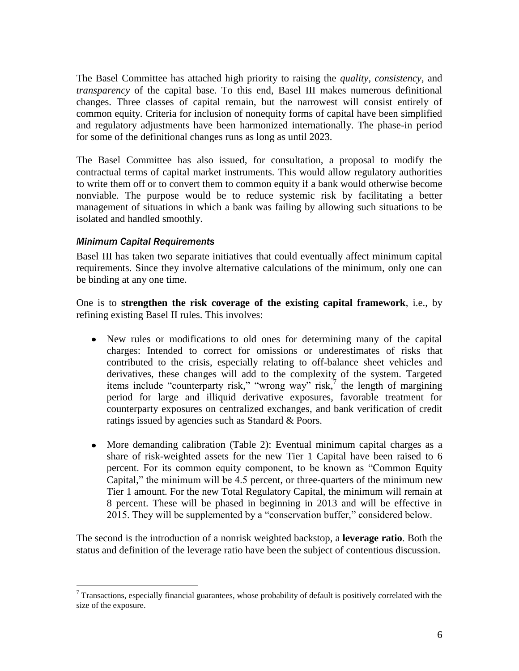The Basel Committee has attached high priority to raising the *quality, consistency,* and *transparency* of the capital base. To this end, Basel III makes numerous definitional changes. Three classes of capital remain, but the narrowest will consist entirely of common equity. Criteria for inclusion of nonequity forms of capital have been simplified and regulatory adjustments have been harmonized internationally. The phase-in period for some of the definitional changes runs as long as until 2023.

The Basel Committee has also issued, for consultation, a proposal to modify the contractual terms of capital market instruments. This would allow regulatory authorities to write them off or to convert them to common equity if a bank would otherwise become nonviable. The purpose would be to reduce systemic risk by facilitating a better management of situations in which a bank was failing by allowing such situations to be isolated and handled smoothly.

#### *Minimum Capital Requirements*

Basel III has taken two separate initiatives that could eventually affect minimum capital requirements. Since they involve alternative calculations of the minimum, only one can be binding at any one time.

One is to **strengthen the risk coverage of the existing capital framework**, i.e., by refining existing Basel II rules. This involves:

- New rules or modifications to old ones for determining many of the capital charges: Intended to correct for omissions or underestimates of risks that contributed to the crisis, especially relating to off-balance sheet vehicles and derivatives, these changes will add to the complexity of the system. Targeted items include "counterparty risk," "wrong way" risk, $\frac{1}{2}$  the length of margining period for large and illiquid derivative exposures, favorable treatment for counterparty exposures on centralized exchanges, and bank verification of credit ratings issued by agencies such as Standard & Poors.
- More demanding calibration (Table 2): Eventual minimum capital charges as a share of risk-weighted assets for the new Tier 1 Capital have been raised to 6 percent. For its common equity component, to be known as "Common Equity Capital," the minimum will be 4.5 percent, or three-quarters of the minimum new Tier 1 amount. For the new Total Regulatory Capital, the minimum will remain at 8 percent. These will be phased in beginning in 2013 and will be effective in 2015. They will be supplemented by a "conservation buffer," considered below.

The second is the introduction of a nonrisk weighted backstop, a **leverage ratio**. Both the status and definition of the leverage ratio have been the subject of contentious discussion.

 $\overline{a}$  $7$  Transactions, especially financial guarantees, whose probability of default is positively correlated with the size of the exposure.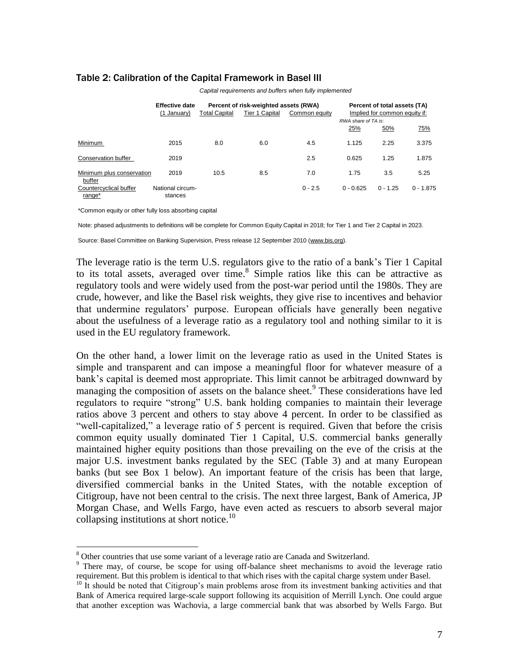|                                     | <b>Effective date</b><br>(1 January) | Percent of risk-weighted assets (RWA)<br>Tier 1 Capital<br><b>Total Capital</b><br>Common equity |     |           | Percent of total assets (TA)<br>Implied for common equity if:<br>RWA share of TA is: |            |             |  |  |  |
|-------------------------------------|--------------------------------------|--------------------------------------------------------------------------------------------------|-----|-----------|--------------------------------------------------------------------------------------|------------|-------------|--|--|--|
|                                     |                                      |                                                                                                  |     |           | 25%                                                                                  | 50%        | 75%         |  |  |  |
| Minimum                             | 2015                                 | 8.0                                                                                              | 6.0 | 4.5       | 1.125                                                                                | 2.25       | 3.375       |  |  |  |
| Conservation buffer                 | 2019                                 |                                                                                                  |     | 2.5       | 0.625                                                                                | 1.25       | 1.875       |  |  |  |
| Minimum plus conservation<br>buffer | 2019                                 | 10.5                                                                                             | 8.5 | 7.0       | 1.75                                                                                 | 3.5        | 5.25        |  |  |  |
| Countercyclical buffer<br>range*    | National circum-<br>stances          |                                                                                                  |     | $0 - 2.5$ | $0 - 0.625$                                                                          | $0 - 1.25$ | $0 - 1.875$ |  |  |  |

#### Table 2: Calibration of the Capital Framework in Basel III

*Capital requirements and buffers when fully implemented*

\*Common equity or other fully loss absorbing capital

 $\overline{a}$ 

Note: phased adjustments to definitions will be complete for Common Equity Capital in 2018; for Tier 1 and Tier 2 Capital in 2023.

Source: Basel Committee on Banking Supervision, Press release 12 September 2010 (www.bis.org).

The leverage ratio is the term U.S. regulators give to the ratio of a bank's Tier 1 Capital to its total assets, averaged over time. 8 Simple ratios like this can be attractive as regulatory tools and were widely used from the post-war period until the 1980s. They are crude, however, and like the Basel risk weights, they give rise to incentives and behavior that undermine regulators' purpose. European officials have generally been negative about the usefulness of a leverage ratio as a regulatory tool and nothing similar to it is used in the EU regulatory framework.

On the other hand, a lower limit on the leverage ratio as used in the United States is simple and transparent and can impose a meaningful floor for whatever measure of a bank's capital is deemed most appropriate. This limit cannot be arbitraged downward by managing the composition of assets on the balance sheet.<sup>9</sup> These considerations have led regulators to require "strong" U.S. bank holding companies to maintain their leverage ratios above 3 percent and others to stay above 4 percent. In order to be classified as "well-capitalized," a leverage ratio of 5 percent is required. Given that before the crisis common equity usually dominated Tier 1 Capital, U.S. commercial banks generally maintained higher equity positions than those prevailing on the eve of the crisis at the major U.S. investment banks regulated by the SEC (Table 3) and at many European banks (but see Box 1 below). An important feature of the crisis has been that large, diversified commercial banks in the United States, with the notable exception of Citigroup, have not been central to the crisis. The next three largest, Bank of America, JP Morgan Chase, and Wells Fargo, have even acted as rescuers to absorb several major collapsing institutions at short notice. 10

<sup>&</sup>lt;sup>8</sup> Other countries that use some variant of a leverage ratio are Canada and Switzerland.

<sup>&</sup>lt;sup>9</sup> There may, of course, be scope for using off-balance sheet mechanisms to avoid the leverage ratio requirement. But this problem is identical to that which rises with the capital charge system under Basel.

 $10$  It should be noted that Citigroup's main problems arose from its investment banking activities and that Bank of America required large-scale support following its acquisition of Merrill Lynch. One could argue that another exception was Wachovia, a large commercial bank that was absorbed by Wells Fargo. But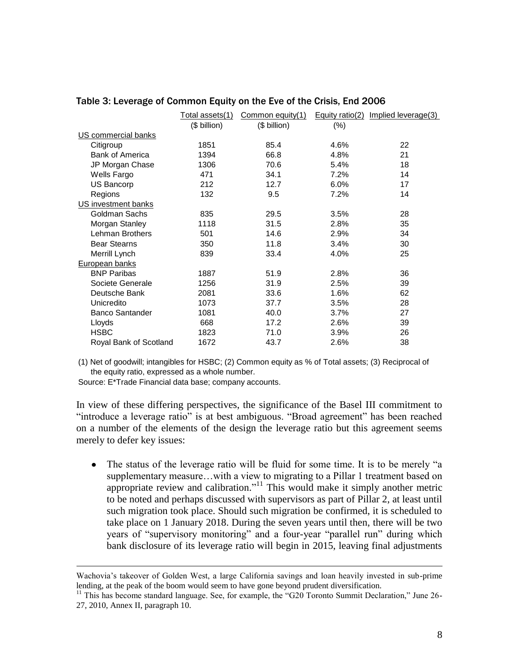|                        | Total assets(1) | Common equity(1) |         | Equity ratio(2) Implied leverage(3) |
|------------------------|-----------------|------------------|---------|-------------------------------------|
|                        | (\$ billion)    | (\$ billion)     | $(\% )$ |                                     |
| US commercial banks    |                 |                  |         |                                     |
| Citigroup              | 1851            | 85.4             | 4.6%    | 22                                  |
| <b>Bank of America</b> | 1394            | 66.8             | 4.8%    | 21                                  |
| JP Morgan Chase        | 1306            | 70.6             | 5.4%    | 18                                  |
| Wells Fargo            | 471             | 34.1             | 7.2%    | 14                                  |
| US Bancorp             | 212             | 12.7             | 6.0%    | 17                                  |
| Regions                | 132             | 9.5              | 7.2%    | 14                                  |
| US investment banks    |                 |                  |         |                                     |
| Goldman Sachs          | 835             | 29.5             | 3.5%    | 28                                  |
| Morgan Stanley         | 1118            | 31.5             | 2.8%    | 35                                  |
| Lehman Brothers        | 501             | 14.6             | 2.9%    | 34                                  |
| <b>Bear Stearns</b>    | 350             | 11.8             | 3.4%    | 30                                  |
| Merrill Lynch          | 839             | 33.4             | 4.0%    | 25                                  |
| European banks         |                 |                  |         |                                     |
| <b>BNP Paribas</b>     | 1887            | 51.9             | 2.8%    | 36                                  |
| Societe Generale       | 1256            | 31.9             | 2.5%    | 39                                  |
| Deutsche Bank          | 2081            | 33.6             | 1.6%    | 62                                  |
| Unicredito             | 1073            | 37.7             | 3.5%    | 28                                  |
| <b>Banco Santander</b> | 1081            | 40.0             | 3.7%    | 27                                  |
| Lloyds                 | 668             | 17.2             | 2.6%    | 39                                  |
| <b>HSBC</b>            | 1823            | 71.0             | 3.9%    | 26                                  |
| Royal Bank of Scotland | 1672            | 43.7             | 2.6%    | 38                                  |

#### Table 3: Leverage of Common Equity on the Eve of the Crisis, End 2006

(1) Net of goodwill; intangibles for HSBC; (2) Common equity as % of Total assets; (3) Reciprocal of the equity ratio, expressed as a whole number.

Source: E\*Trade Financial data base; company accounts.

 $\overline{a}$ 

In view of these differing perspectives, the significance of the Basel III commitment to "introduce a leverage ratio" is at best ambiguous. "Broad agreement" has been reached on a number of the elements of the design the leverage ratio but this agreement seems merely to defer key issues:

 $\bullet$ The status of the leverage ratio will be fluid for some time. It is to be merely "a supplementary measure...with a view to migrating to a Pillar 1 treatment based on appropriate review and calibration."<sup>11</sup> This would make it simply another metric to be noted and perhaps discussed with supervisors as part of Pillar 2, at least until such migration took place. Should such migration be confirmed, it is scheduled to take place on 1 January 2018. During the seven years until then, there will be two years of "supervisory monitoring" and a four-year "parallel run" during which bank disclosure of its leverage ratio will begin in 2015, leaving final adjustments

Wachovia's takeover of Golden West, a large California savings and loan heavily invested in sub-prime lending, at the peak of the boom would seem to have gone beyond prudent diversification.

<sup>&</sup>lt;sup>11</sup> This has become standard language. See, for example, the "G20 Toronto Summit Declaration," June 26-27, 2010, Annex II, paragraph 10.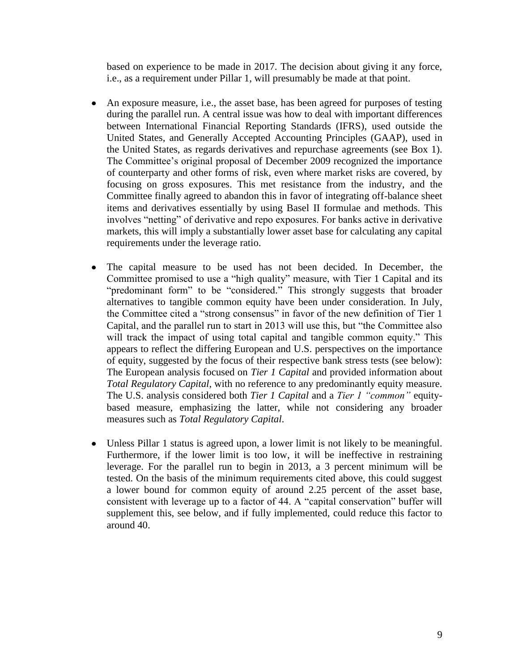based on experience to be made in 2017. The decision about giving it any force, i.e., as a requirement under Pillar 1, will presumably be made at that point.

- An exposure measure, i.e., the asset base, has been agreed for purposes of testing during the parallel run. A central issue was how to deal with important differences between International Financial Reporting Standards (IFRS), used outside the United States, and Generally Accepted Accounting Principles (GAAP), used in the United States, as regards derivatives and repurchase agreements (see Box 1). The Committee's original proposal of December 2009 recognized the importance of counterparty and other forms of risk, even where market risks are covered, by focusing on gross exposures. This met resistance from the industry, and the Committee finally agreed to abandon this in favor of integrating off-balance sheet items and derivatives essentially by using Basel II formulae and methods. This involves "netting" of derivative and repo exposures. For banks active in derivative markets, this will imply a substantially lower asset base for calculating any capital requirements under the leverage ratio.
- The capital measure to be used has not been decided. In December, the  $\bullet$ Committee promised to use a "high quality" measure, with Tier 1 Capital and its "predominant form" to be "considered." This strongly suggests that broader alternatives to tangible common equity have been under consideration. In July, the Committee cited a "strong consensus" in favor of the new definition of Tier 1 Capital, and the parallel run to start in 2013 will use this, but "the Committee also will track the impact of using total capital and tangible common equity." This appears to reflect the differing European and U.S. perspectives on the importance of equity, suggested by the focus of their respective bank stress tests (see below): The European analysis focused on *Tier 1 Capital* and provided information about *Total Regulatory Capital*, with no reference to any predominantly equity measure. The U.S. analysis considered both *Tier 1 Capital* and a *Tier 1 "common"* equitybased measure, emphasizing the latter, while not considering any broader measures such as *Total Regulatory Capital*.
- Unless Pillar 1 status is agreed upon, a lower limit is not likely to be meaningful.  $\bullet$ Furthermore, if the lower limit is too low, it will be ineffective in restraining leverage. For the parallel run to begin in 2013, a 3 percent minimum will be tested. On the basis of the minimum requirements cited above, this could suggest a lower bound for common equity of around 2.25 percent of the asset base, consistent with leverage up to a factor of 44. A "capital conservation" buffer will supplement this, see below, and if fully implemented, could reduce this factor to around 40.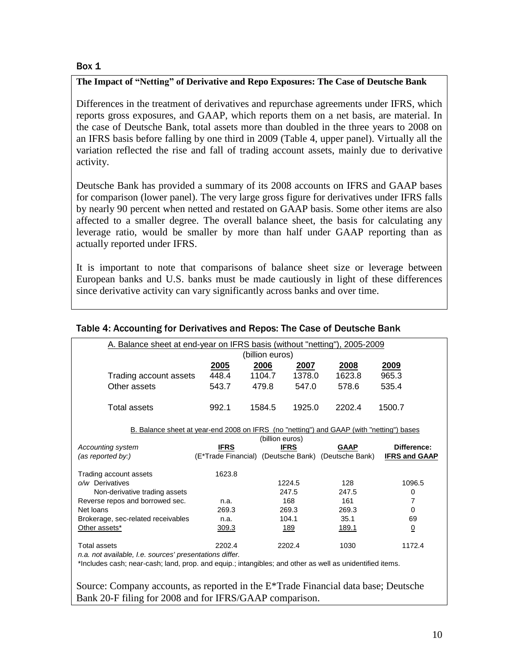#### Box 1

#### **The Impact of "Netting" of Derivative and Repo Exposures: The Case of Deutsche Bank**

Differences in the treatment of derivatives and repurchase agreements under IFRS, which reports gross exposures, and GAAP, which reports them on a net basis, are material. In the case of Deutsche Bank, total assets more than doubled in the three years to 2008 on an IFRS basis before falling by one third in 2009 (Table 4, upper panel). Virtually all the variation reflected the rise and fall of trading account assets, mainly due to derivative activity.

Deutsche Bank has provided a summary of its 2008 accounts on IFRS and GAAP bases for comparison (lower panel). The very large gross figure for derivatives under IFRS falls by nearly 90 percent when netted and restated on GAAP basis. Some other items are also affected to a smaller degree. The overall balance sheet, the basis for calculating any leverage ratio, would be smaller by more than half under GAAP reporting than as actually reported under IFRS.

It is important to note that comparisons of balance sheet size or leverage between European banks and U.S. banks must be made cautiously in light of these differences since derivative activity can vary significantly across banks and over time.

| A. Balance sheet at end-year on IFRS basis (without "netting"), 2005-2009                                |               |                 |             |                                                     |                      |  |  |  |  |  |
|----------------------------------------------------------------------------------------------------------|---------------|-----------------|-------------|-----------------------------------------------------|----------------------|--|--|--|--|--|
| (billion euros)                                                                                          |               |                 |             |                                                     |                      |  |  |  |  |  |
|                                                                                                          | <u> 2005 </u> | 2006            | 2007        | 2008                                                | <u>2009</u>          |  |  |  |  |  |
| Trading account assets                                                                                   | 448.4         | 1104.7          | 1378.0      | 1623.8                                              | 965.3                |  |  |  |  |  |
| Other assets                                                                                             | 543.7         | 479.8           | 547.0       | 578.6                                               | 535.4                |  |  |  |  |  |
|                                                                                                          |               |                 |             |                                                     |                      |  |  |  |  |  |
| Total assets                                                                                             | 992.1         | 1584.5          | 1925.0      | 2202.4                                              | 1500.7               |  |  |  |  |  |
|                                                                                                          |               |                 |             |                                                     |                      |  |  |  |  |  |
| B. Balance sheet at year-end 2008 on IFRS (no "netting") and GAAP (with "netting") bases                 |               |                 |             |                                                     |                      |  |  |  |  |  |
|                                                                                                          |               | (billion euros) |             |                                                     |                      |  |  |  |  |  |
| Accounting system                                                                                        | <b>IFRS</b>   |                 | <b>IFRS</b> | <b>GAAP</b>                                         | Difference:          |  |  |  |  |  |
| (as reported by:)                                                                                        |               |                 |             | (E*Trade Financial) (Deutsche Bank) (Deutsche Bank) | <b>IFRS and GAAP</b> |  |  |  |  |  |
| Trading account assets                                                                                   | 1623.8        |                 |             |                                                     |                      |  |  |  |  |  |
| o/w Derivatives                                                                                          |               |                 | 1224.5      | 128                                                 | 1096.5               |  |  |  |  |  |
| Non-derivative trading assets                                                                            |               |                 | 247.5       | 247.5                                               | 0                    |  |  |  |  |  |
| Reverse repos and borrowed sec.                                                                          | n.a.          |                 | 168         | 161                                                 | 7                    |  |  |  |  |  |
| Net loans                                                                                                | 269.3         |                 | 269.3       | 269.3                                               | $\Omega$             |  |  |  |  |  |
| Brokerage, sec-related receivables                                                                       | n.a.          |                 | 104.1       | 35.1                                                | 69                   |  |  |  |  |  |
| Other assets*                                                                                            | 309.3         |                 | <u> 189</u> | <u>189.1</u>                                        | $\overline{0}$       |  |  |  |  |  |
|                                                                                                          |               |                 |             |                                                     |                      |  |  |  |  |  |
| Total assets                                                                                             | 2202.4        |                 | 2202.4      | 1030                                                | 1172.4               |  |  |  |  |  |
| n.a. not available, I.e. sources' presentations differ.                                                  |               |                 |             |                                                     |                      |  |  |  |  |  |
| *Includes cash; near-cash; land, prop. and equip.; intangibles; and other as well as unidentified items. |               |                 |             |                                                     |                      |  |  |  |  |  |
|                                                                                                          |               |                 |             |                                                     |                      |  |  |  |  |  |

#### Table 4: Accounting for Derivatives and Repos: The Case of Deutsche Bank

Source: Company accounts, as reported in the E\*Trade Financial data base; Deutsche Bank 20-F filing for 2008 and for IFRS/GAAP comparison.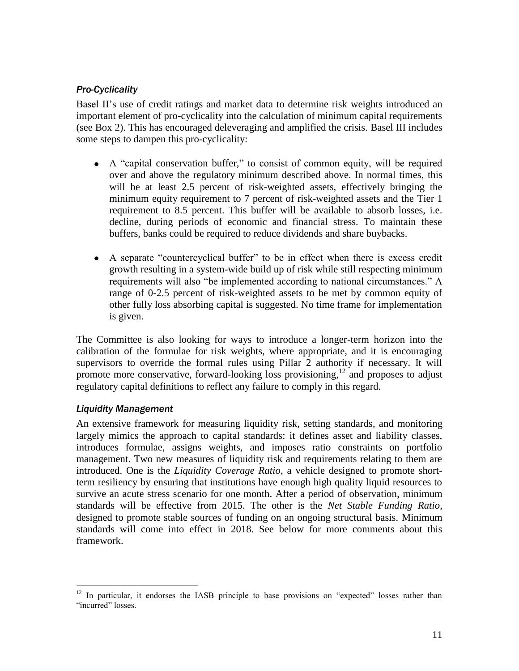### *Pro-Cyclicality*

Basel II's use of credit ratings and market data to determine risk weights introduced an important element of pro-cyclicality into the calculation of minimum capital requirements (see Box 2). This has encouraged deleveraging and amplified the crisis. Basel III includes some steps to dampen this pro-cyclicality:

- A "capital conservation buffer," to consist of common equity, will be required over and above the regulatory minimum described above. In normal times, this will be at least 2.5 percent of risk-weighted assets, effectively bringing the minimum equity requirement to 7 percent of risk-weighted assets and the Tier 1 requirement to 8.5 percent. This buffer will be available to absorb losses, i.e. decline, during periods of economic and financial stress. To maintain these buffers, banks could be required to reduce dividends and share buybacks.
- A separate "countercyclical buffer" to be in effect when there is excess credit growth resulting in a system-wide build up of risk while still respecting minimum requirements will also "be implemented according to national circumstances." A range of 0-2.5 percent of risk-weighted assets to be met by common equity of other fully loss absorbing capital is suggested. No time frame for implementation is given.

The Committee is also looking for ways to introduce a longer-term horizon into the calibration of the formulae for risk weights, where appropriate, and it is encouraging supervisors to override the formal rules using Pillar 2 authority if necessary. It will promote more conservative, forward-looking loss provisioning,<sup>12</sup> and proposes to adjust regulatory capital definitions to reflect any failure to comply in this regard.

### *Liquidity Management*

An extensive framework for measuring liquidity risk, setting standards, and monitoring largely mimics the approach to capital standards: it defines asset and liability classes, introduces formulae, assigns weights, and imposes ratio constraints on portfolio management. Two new measures of liquidity risk and requirements relating to them are introduced. One is the *Liquidity Coverage Ratio*, a vehicle designed to promote shortterm resiliency by ensuring that institutions have enough high quality liquid resources to survive an acute stress scenario for one month. After a period of observation, minimum standards will be effective from 2015. The other is the *Net Stable Funding Ratio*, designed to promote stable sources of funding on an ongoing structural basis. Minimum standards will come into effect in 2018. See below for more comments about this framework.

 $\overline{a}$  $12$  In particular, it endorses the IASB principle to base provisions on "expected" losses rather than "incurred" losses.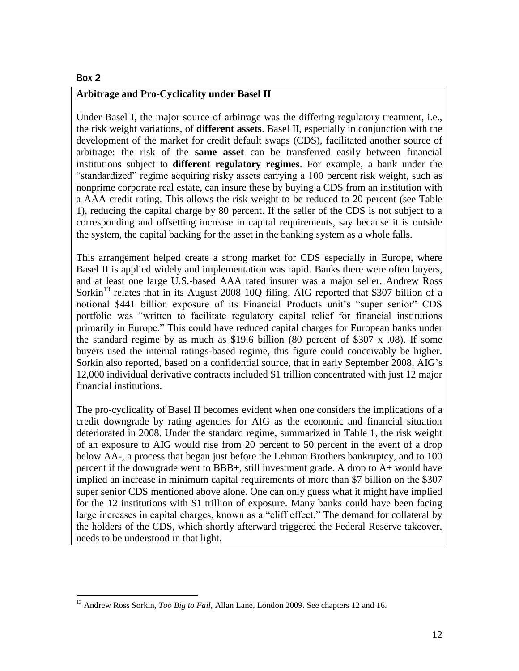#### Box 2

 $\overline{a}$ 

#### **Arbitrage and Pro-Cyclicality under Basel II**

Under Basel I, the major source of arbitrage was the differing regulatory treatment, i.e., the risk weight variations, of **different assets**. Basel II, especially in conjunction with the development of the market for credit default swaps (CDS), facilitated another source of arbitrage: the risk of the **same asset** can be transferred easily between financial institutions subject to **different regulatory regimes**. For example, a bank under the "standardized" regime acquiring risky assets carrying a 100 percent risk weight, such as nonprime corporate real estate, can insure these by buying a CDS from an institution with a AAA credit rating. This allows the risk weight to be reduced to 20 percent (see Table 1), reducing the capital charge by 80 percent. If the seller of the CDS is not subject to a corresponding and offsetting increase in capital requirements, say because it is outside the system, the capital backing for the asset in the banking system as a whole falls.

This arrangement helped create a strong market for CDS especially in Europe, where Basel II is applied widely and implementation was rapid. Banks there were often buyers, and at least one large U.S.-based AAA rated insurer was a major seller. Andrew Ross Sorkin<sup>13</sup> relates that in its August 2008 10Q filing, AIG reported that \$307 billion of a notional \$441 billion exposure of its Financial Products unit's "super senior" CDS portfolio was "written to facilitate regulatory capital relief for financial institutions primarily in Europe." This could have reduced capital charges for European banks under the standard regime by as much as \$19.6 billion (80 percent of \$307 x .08). If some buyers used the internal ratings-based regime, this figure could conceivably be higher. Sorkin also reported, based on a confidential source, that in early September 2008, AIG's 12,000 individual derivative contracts included \$1 trillion concentrated with just 12 major financial institutions.

The pro-cyclicality of Basel II becomes evident when one considers the implications of a credit downgrade by rating agencies for AIG as the economic and financial situation deteriorated in 2008. Under the standard regime, summarized in Table 1, the risk weight of an exposure to AIG would rise from 20 percent to 50 percent in the event of a drop below AA-, a process that began just before the Lehman Brothers bankruptcy, and to 100 percent if the downgrade went to BBB+, still investment grade. A drop to A+ would have implied an increase in minimum capital requirements of more than \$7 billion on the \$307 super senior CDS mentioned above alone. One can only guess what it might have implied for the 12 institutions with \$1 trillion of exposure. Many banks could have been facing large increases in capital charges, known as a "cliff effect." The demand for collateral by the holders of the CDS, which shortly afterward triggered the Federal Reserve takeover, needs to be understood in that light.

<sup>&</sup>lt;sup>13</sup> Andrew Ross Sorkin, *Too Big to Fail*, Allan Lane, London 2009. See chapters 12 and 16.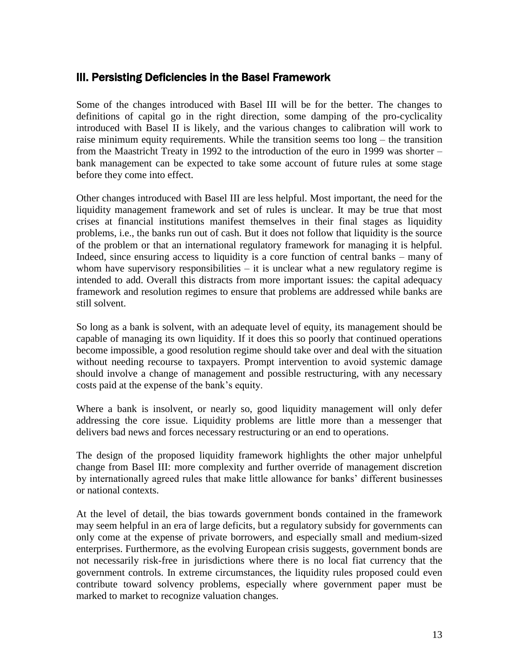## III. Persisting Deficiencies in the Basel Framework

Some of the changes introduced with Basel III will be for the better. The changes to definitions of capital go in the right direction, some damping of the pro-cyclicality introduced with Basel II is likely, and the various changes to calibration will work to raise minimum equity requirements. While the transition seems too long – the transition from the Maastricht Treaty in 1992 to the introduction of the euro in 1999 was shorter – bank management can be expected to take some account of future rules at some stage before they come into effect.

Other changes introduced with Basel III are less helpful. Most important, the need for the liquidity management framework and set of rules is unclear. It may be true that most crises at financial institutions manifest themselves in their final stages as liquidity problems, i.e., the banks run out of cash. But it does not follow that liquidity is the source of the problem or that an international regulatory framework for managing it is helpful. Indeed, since ensuring access to liquidity is a core function of central banks – many of whom have supervisory responsibilities – it is unclear what a new regulatory regime is intended to add. Overall this distracts from more important issues: the capital adequacy framework and resolution regimes to ensure that problems are addressed while banks are still solvent.

So long as a bank is solvent, with an adequate level of equity, its management should be capable of managing its own liquidity. If it does this so poorly that continued operations become impossible, a good resolution regime should take over and deal with the situation without needing recourse to taxpayers. Prompt intervention to avoid systemic damage should involve a change of management and possible restructuring, with any necessary costs paid at the expense of the bank's equity.

Where a bank is insolvent, or nearly so, good liquidity management will only defer addressing the core issue. Liquidity problems are little more than a messenger that delivers bad news and forces necessary restructuring or an end to operations.

The design of the proposed liquidity framework highlights the other major unhelpful change from Basel III: more complexity and further override of management discretion by internationally agreed rules that make little allowance for banks' different businesses or national contexts.

At the level of detail, the bias towards government bonds contained in the framework may seem helpful in an era of large deficits, but a regulatory subsidy for governments can only come at the expense of private borrowers, and especially small and medium-sized enterprises. Furthermore, as the evolving European crisis suggests, government bonds are not necessarily risk-free in jurisdictions where there is no local fiat currency that the government controls. In extreme circumstances, the liquidity rules proposed could even contribute toward solvency problems, especially where government paper must be marked to market to recognize valuation changes.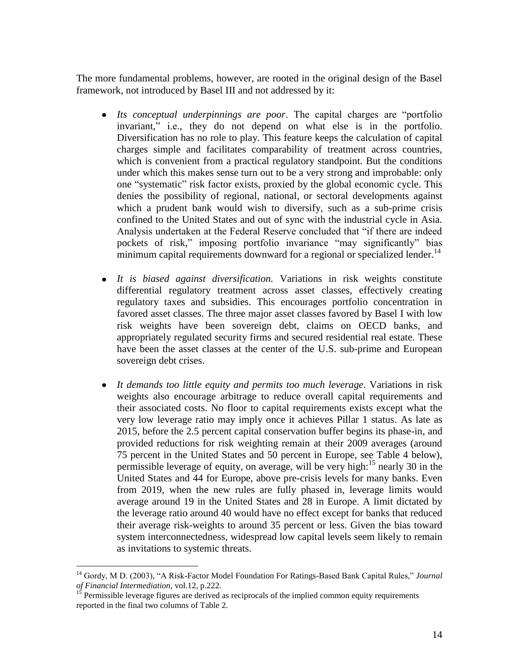The more fundamental problems, however, are rooted in the original design of the Basel framework, not introduced by Basel III and not addressed by it:

- *Its conceptual underpinnings are poor*. The capital charges are "portfolio invariant," i.e., they do not depend on what else is in the portfolio. Diversification has no role to play. This feature keeps the calculation of capital charges simple and facilitates comparability of treatment across countries, which is convenient from a practical regulatory standpoint. But the conditions under which this makes sense turn out to be a very strong and improbable: only one "systematic" risk factor exists, proxied by the global economic cycle. This denies the possibility of regional, national, or sectoral developments against which a prudent bank would wish to diversify, such as a sub-prime crisis confined to the United States and out of sync with the industrial cycle in Asia. Analysis undertaken at the Federal Reserve concluded that "if there are indeed pockets of risk," imposing portfolio invariance "may significantly" bias minimum capital requirements downward for a regional or specialized lender.<sup>14</sup>
- *It is biased against diversification.* Variations in risk weights constitute differential regulatory treatment across asset classes, effectively creating regulatory taxes and subsidies. This encourages portfolio concentration in favored asset classes. The three major asset classes favored by Basel I with low risk weights have been sovereign debt, claims on OECD banks, and appropriately regulated security firms and secured residential real estate. These have been the asset classes at the center of the U.S. sub-prime and European sovereign debt crises.
- *It demands too little equity and permits too much leverage*. Variations in risk  $\bullet$ weights also encourage arbitrage to reduce overall capital requirements and their associated costs. No floor to capital requirements exists except what the very low leverage ratio may imply once it achieves Pillar 1 status. As late as 2015, before the 2.5 percent capital conservation buffer begins its phase-in, and provided reductions for risk weighting remain at their 2009 averages (around 75 percent in the United States and 50 percent in Europe, see Table 4 below), permissible leverage of equity, on average, will be very high:<sup>15</sup> nearly 30 in the United States and 44 for Europe, above pre-crisis levels for many banks. Even from 2019, when the new rules are fully phased in, leverage limits would average around 19 in the United States and 28 in Europe. A limit dictated by the leverage ratio around 40 would have no effect except for banks that reduced their average risk-weights to around 35 percent or less. Given the bias toward system interconnectedness, widespread low capital levels seem likely to remain as invitations to systemic threats.

<sup>14</sup> Gordy, M D. (2003), "A Risk-Factor Model Foundation For Ratings-Based Bank Capital Rules," *Journal of Financial Intermediation*, vol.12, p.222.

<sup>15</sup> Permissible leverage figures are derived as reciprocals of the implied common equity requirements reported in the final two columns of Table 2.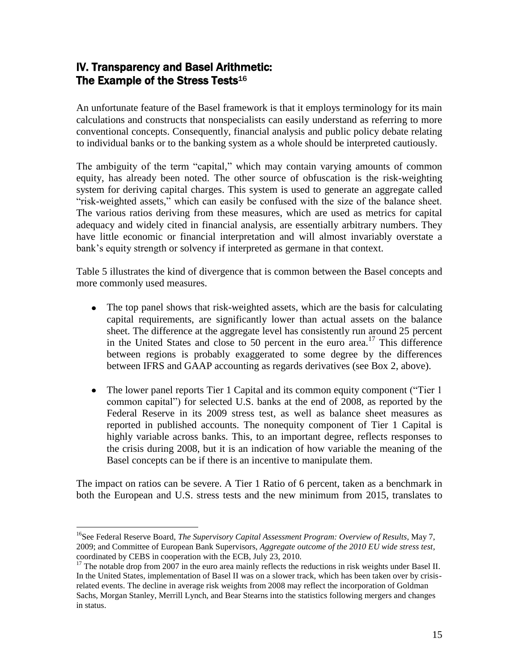# IV. Transparency and Basel Arithmetic: The Example of the Stress Tests<sup>16</sup>

An unfortunate feature of the Basel framework is that it employs terminology for its main calculations and constructs that nonspecialists can easily understand as referring to more conventional concepts. Consequently, financial analysis and public policy debate relating to individual banks or to the banking system as a whole should be interpreted cautiously.

The ambiguity of the term "capital," which may contain varying amounts of common equity, has already been noted. The other source of obfuscation is the risk-weighting system for deriving capital charges. This system is used to generate an aggregate called "risk-weighted assets," which can easily be confused with the size of the balance sheet. The various ratios deriving from these measures, which are used as metrics for capital adequacy and widely cited in financial analysis, are essentially arbitrary numbers. They have little economic or financial interpretation and will almost invariably overstate a bank's equity strength or solvency if interpreted as germane in that context.

Table 5 illustrates the kind of divergence that is common between the Basel concepts and more commonly used measures.

- The top panel shows that risk-weighted assets, which are the basis for calculating capital requirements, are significantly lower than actual assets on the balance sheet. The difference at the aggregate level has consistently run around 25 percent in the United States and close to 50 percent in the euro area. <sup>17</sup> This difference between regions is probably exaggerated to some degree by the differences between IFRS and GAAP accounting as regards derivatives (see Box 2, above).
- The lower panel reports Tier 1 Capital and its common equity component ("Tier 1) common capital") for selected U.S. banks at the end of 2008, as reported by the Federal Reserve in its 2009 stress test, as well as balance sheet measures as reported in published accounts. The nonequity component of Tier 1 Capital is highly variable across banks. This, to an important degree, reflects responses to the crisis during 2008, but it is an indication of how variable the meaning of the Basel concepts can be if there is an incentive to manipulate them.

The impact on ratios can be severe. A Tier 1 Ratio of 6 percent, taken as a benchmark in both the European and U.S. stress tests and the new minimum from 2015, translates to

<sup>&</sup>lt;sup>16</sup>See Federal Reserve Board, *The Supervisory Capital Assessment Program: Overview of Results*, May 7, 2009; and Committee of European Bank Supervisors, *Aggregate outcome of the 2010 EU wide stress test,* coordinated by CEBS in cooperation with the ECB, July 23, 2010.

<sup>&</sup>lt;sup>17</sup> The notable drop from 2007 in the euro area mainly reflects the reductions in risk weights under Basel II. In the United States, implementation of Basel II was on a slower track, which has been taken over by crisisrelated events. The decline in average risk weights from 2008 may reflect the incorporation of Goldman Sachs, Morgan Stanley, Merrill Lynch, and Bear Stearns into the statistics following mergers and changes in status.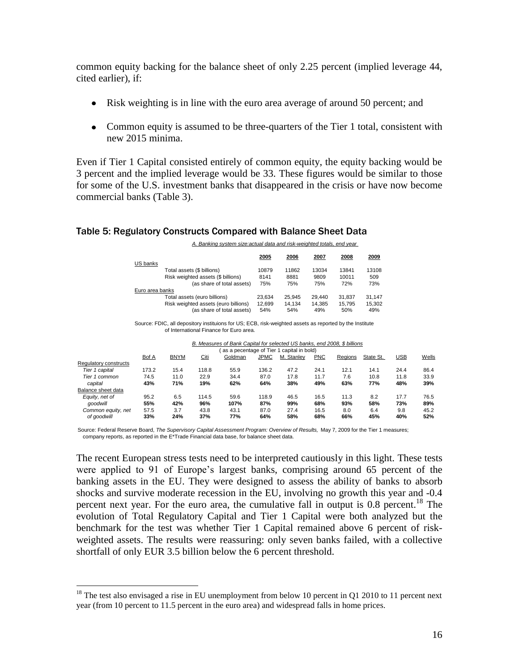common equity backing for the balance sheet of only 2.25 percent (implied leverage 44, cited earlier), if:

- Risk weighting is in line with the euro area average of around 50 percent; and
- Common equity is assumed to be three-quarters of the Tier 1 total, consistent with new 2015 minima.

Even if Tier 1 Capital consisted entirely of common equity, the equity backing would be 3 percent and the implied leverage would be 33. These figures would be similar to those for some of the U.S. investment banks that disappeared in the crisis or have now become commercial banks (Table 3).

#### Table 5: Regulatory Constructs Compared with Balance Sheet Data

*A. Banking system size:actual data and risk-weighted totals, end year* 

|                 |                                      | 2005   | 2006   | 2007   | 2008       | 2009   |
|-----------------|--------------------------------------|--------|--------|--------|------------|--------|
| US banks        |                                      |        |        |        |            |        |
|                 | Total assets (\$ billions)           | 10879  | 11862  | 13034  | 13841      | 13108  |
|                 | Risk weighted assets (\$ billions)   | 8141   | 8881   | 9809   | 10011      | 509    |
|                 | (as share of total assets)           | 75%    | 75%    | 75%    | <b>72%</b> | 73%    |
| Euro area banks |                                      |        |        |        |            |        |
|                 | Total assets (euro billions)         | 23.634 | 25.945 | 29.440 | 31.837     | 31.147 |
|                 | Risk weighted assets (euro billions) | 12.699 | 14.134 | 14.385 | 15.795     | 15.302 |
|                 | (as share of total assets)           | 54%    | 54%    | 49%    | 50%        | 49%    |

Source: FDIC, all depository instituions for US; ECB, risk-weighted assets as reported by the Institute of International Finance for Euro area.

| B. Measures of Bank Capital for selected US banks, end 2008, \$ billions |  |
|--------------------------------------------------------------------------|--|
| (as a pecentage of Tier 1 capital in bold)                               |  |

| as a poccritage of fiel I capital in bold) |             |       |         |             |            |            |         |           |      |       |
|--------------------------------------------|-------------|-------|---------|-------------|------------|------------|---------|-----------|------|-------|
| Bof A                                      | <b>BNYM</b> | Citi  | Goldman | <b>JPMC</b> | M. Stanley | <b>PNC</b> | Regions | State St. | USB  | Wells |
|                                            |             |       |         |             |            |            |         |           |      |       |
| 173.2                                      | 15.4        | 118.8 | 55.9    | 136.2       | 47.2       | 24.1       | 12.1    | 14.1      | 24.4 | 86.4  |
| 74.5                                       | 11.0        | 22.9  | 34.4    | 87.0        | 17.8       | 11.7       | 7.6     | 10.8      | 11.8 | 33.9  |
| 43%                                        | 71%         | 19%   | 62%     | 64%         | 38%        | 49%        | 63%     | 77%       | 48%  | 39%   |
|                                            |             |       |         |             |            |            |         |           |      |       |
| 95.2                                       | 6.5         | 114.5 | 59.6    | 118.9       | 46.5       | 16.5       | 11.3    | 8.2       | 17.7 | 76.5  |
| 55%                                        | 42%         | 96%   | 107%    | 87%         | 99%        | 68%        | 93%     | 58%       | 73%  | 89%   |
| 57.5                                       | 3.7         | 43.8  | 43.1    | 87.0        | 27.4       | 16.5       | 8.0     | 6.4       | 9.8  | 45.2  |
| 33%                                        | 24%         | 37%   | 77%     | 64%         | 58%        | 68%        | 66%     | 45%       | 40%  | 52%   |
|                                            |             |       |         |             |            |            |         |           |      |       |

Source: Federal Reserve Board, *The Supervisory Capital Assessment Program: Overview of Results,* May 7, 2009 for the Tier 1 measures; company reports, as reported in the E\*Trade Financial data base, for balance sheet data.

The recent European stress tests need to be interpreted cautiously in this light. These tests were applied to 91 of Europe's largest banks, comprising around 65 percent of the banking assets in the EU. They were designed to assess the ability of banks to absorb shocks and survive moderate recession in the EU, involving no growth this year and -0.4 percent next year. For the euro area, the cumulative fall in output is 0.8 percent.<sup>18</sup> The evolution of Total Regulatory Capital and Tier 1 Capital were both analyzed but the benchmark for the test was whether Tier 1 Capital remained above 6 percent of riskweighted assets. The results were reassuring: only seven banks failed, with a collective shortfall of only EUR 3.5 billion below the 6 percent threshold.

<sup>&</sup>lt;sup>18</sup> The test also envisaged a rise in EU unemployment from below 10 percent in Q1 2010 to 11 percent next year (from 10 percent to 11.5 percent in the euro area) and widespread falls in home prices.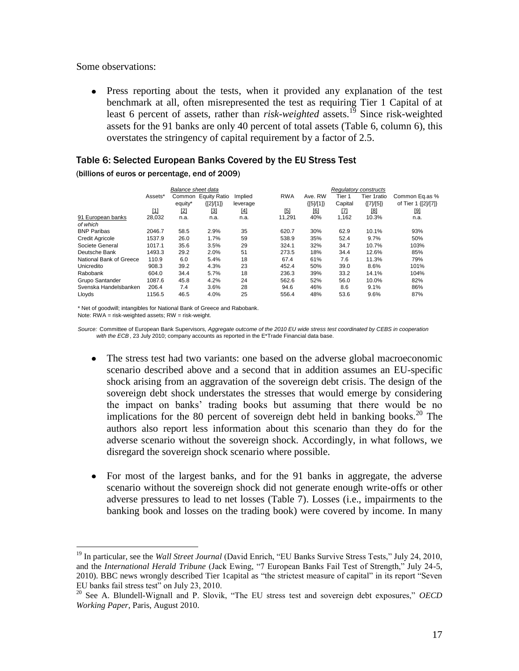Some observations:

 $\overline{a}$ 

Press reporting about the tests, when it provided any explanation of the test benchmark at all, often misrepresented the test as requiring Tier 1 Capital of at least 6 percent of assets, rather than *risk-weighted* assets.<sup>19</sup> Since risk-weighted assets for the 91 banks are only 40 percent of total assets (Table 6, column 6), this overstates the stringency of capital requirement by a factor of 2.5.

#### Table 6: Selected European Banks Covered by the EU Stress Test

(billions of euros or percentage, end of 2009)

|                         | Balance sheet data |         |                     |          |            | <b>Requiatory constructs</b> |         |         |               |                     |
|-------------------------|--------------------|---------|---------------------|----------|------------|------------------------------|---------|---------|---------------|---------------------|
|                         | Assets*            | Common  | <b>Equity Ratio</b> | Implied  | <b>RWA</b> |                              | Ave. RW | Tier 1  | Tier 1ratio   | Common Eq.as %      |
|                         |                    | equity* | ${[2]}/{[1]}$       | leverage |            |                              | ${5M1}$ | Capital | ${[7]}/{[5]}$ | of Tier 1 {[2]/[7]} |
|                         | $[1]$              | $[2]$   | [3]                 | [4]      | [5]        |                              | [6]     | [7]     | [8]           | [9]                 |
| 91 European banks       | 28,032             | n.a.    | n.a.                | n.a.     | 11,291     |                              | 40%     | 1,162   | 10.3%         | n.a.                |
| of which                |                    |         |                     |          |            |                              |         |         |               |                     |
| <b>BNP Paribas</b>      | 2046.7             | 58.5    | 2.9%                | 35       | 620.7      |                              | 30%     | 62.9    | 10.1%         | 93%                 |
| <b>Credit Agricole</b>  | 1537.9             | 26.0    | 1.7%                | 59       | 538.9      |                              | 35%     | 52.4    | 9.7%          | 50%                 |
| Societe General         | 1017.1             | 35.6    | 3.5%                | 29       | 324.1      |                              | 32%     | 34.7    | 10.7%         | 103%                |
| Deutsche Bank           | 1493.3             | 29.2    | 2.0%                | 51       | 273.5      |                              | 18%     | 34.4    | 12.6%         | 85%                 |
| National Bank of Greece | 110.9              | 6.0     | 5.4%                | 18       | 67.4       |                              | 61%     | 7.6     | 11.3%         | 79%                 |
| Unicredito              | 908.3              | 39.2    | 4.3%                | 23       | 452.4      |                              | 50%     | 39.0    | 8.6%          | 101%                |
| Rabobank                | 604.0              | 34.4    | 5.7%                | 18       | 236.3      |                              | 39%     | 33.2    | 14.1%         | 104%                |
| Grupo Santander         | 1087.6             | 45.8    | 4.2%                | 24       | 562.6      |                              | 52%     | 56.0    | 10.0%         | 82%                 |
| Svenska Handelsbanken   | 206.4              | 7.4     | 3.6%                | 28       | 94.6       |                              | 46%     | 8.6     | 9.1%          | 86%                 |
| Lloyds                  | 1156.5             | 46.5    | 4.0%                | 25       | 556.4      |                              | 48%     | 53.6    | 9.6%          | 87%                 |

\* Net of goodwill; intangibles for National Bank of Greece and Rabobank. Note: RWA = risk-weighted assets; RW = risk-weight.

*Source:* Committee of European Bank Supervisors*, Aggregate outcome of the 2010 EU wide stress test coordinated by CEBS in cooperation*  with the ECB, 23 July 2010; company accounts as reported in the E<sup>\*</sup>Trade Financial data base.

- The stress test had two variants: one based on the adverse global macroeconomic scenario described above and a second that in addition assumes an EU-specific shock arising from an aggravation of the sovereign debt crisis. The design of the sovereign debt shock understates the stresses that would emerge by considering the impact on banks' trading books but assuming that there would be no implications for the 80 percent of sovereign debt held in banking books.<sup>20</sup> The authors also report less information about this scenario than they do for the adverse scenario without the sovereign shock. Accordingly, in what follows, we disregard the sovereign shock scenario where possible.
- For most of the largest banks, and for the 91 banks in aggregate, the adverse scenario without the sovereign shock did not generate enough write-offs or other adverse pressures to lead to net losses (Table 7). Losses (i.e., impairments to the banking book and losses on the trading book) were covered by income. In many

<sup>&</sup>lt;sup>19</sup> In particular, see the *Wall Street Journal* (David Enrich, "EU Banks Survive Stress Tests," July 24, 2010, and the *International Herald Tribune* (Jack Ewing, "7 European Banks Fail Test of Strength," July 24-5, 2010). BBC news wrongly described Tier 1capital as "the strictest measure of capital" in its report "Seven EU banks fail stress test" on July 23, 2010.

<sup>20</sup> See A. Blundell-Wignall and P. Slovik, "The EU stress test and sovereign debt exposures," *OECD Working Paper*, Paris, August 2010.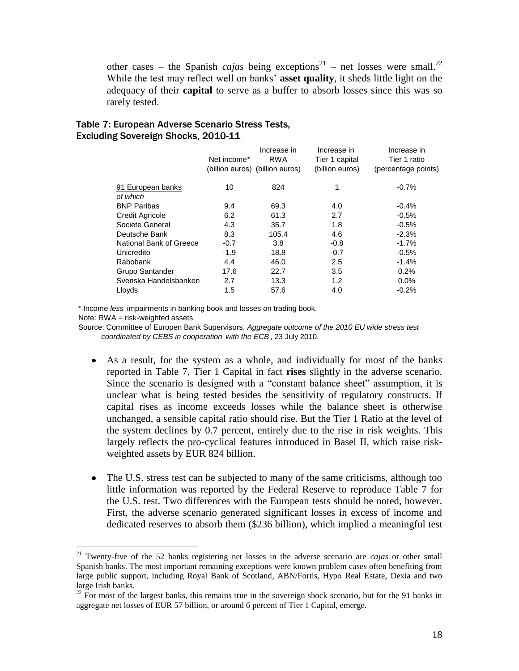other cases – the Spanish *cajas* being exceptions<sup>21</sup> – net losses were small.<sup>22</sup> While the test may reflect well on banks' **asset quality**, it sheds little light on the adequacy of their **capital** to serve as a buffer to absorb losses since this was so rarely tested.

#### Table 7: European Adverse Scenario Stress Tests, Excluding Sovereign Shocks, 2010-11

|                         | Net income* | Increase in<br><b>RWA</b><br>(billion euros) (billion euros) | Increase in<br>Tier 1 capital<br>(billion euros) | Increase in<br>Tier 1 ratio<br>(percentage points) |
|-------------------------|-------------|--------------------------------------------------------------|--------------------------------------------------|----------------------------------------------------|
| 91 European banks       | 10          | 824                                                          | 1                                                | $-0.7%$                                            |
| of which                |             |                                                              |                                                  |                                                    |
| <b>BNP Paribas</b>      | 9.4         | 69.3                                                         | 4.0                                              | $-0.4%$                                            |
| <b>Credit Agricole</b>  | 6.2         | 61.3                                                         | 2.7                                              | $-0.5%$                                            |
| Societe General         | 4.3         | 35.7                                                         | 1.8                                              | $-0.5%$                                            |
| Deutsche Bank           | 8.3         | 105.4                                                        | 4.6                                              | $-2.3%$                                            |
| National Bank of Greece | $-0.7$      | 3.8                                                          | $-0.8$                                           | $-1.7%$                                            |
| Unicredito              | $-1.9$      | 18.8                                                         | $-0.7$                                           | $-0.5%$                                            |
| Rabobank                | 4.4         | 46.0                                                         | 2.5                                              | $-1.4%$                                            |
| Grupo Santander         | 17.6        | 22.7                                                         | 3.5                                              | 0.2%                                               |
| Svenska Handelsbanken   | 2.7         | 13.3                                                         | 1.2                                              | $0.0\%$                                            |
| Lloyds                  | 1.5         | 57.6                                                         | 4.0                                              | $-0.2%$                                            |

\* Income *less* impairments in banking book and losses on trading book.

Note: RWA = risk-weighted assets

 $\overline{a}$ 

Source: Committee of Europen Bank Supervisors, *Aggregate outcome of the 2010 EU wide stress test coordinated by CEBS in cooperation with the ECB*, 23 July 2010.

- As a result, for the system as a whole, and individually for most of the banks reported in Table 7, Tier 1 Capital in fact **rises** slightly in the adverse scenario. Since the scenario is designed with a "constant balance sheet" assumption, it is unclear what is being tested besides the sensitivity of regulatory constructs. If capital rises as income exceeds losses while the balance sheet is otherwise unchanged, a sensible capital ratio should rise. But the Tier 1 Ratio at the level of the system declines by 0.7 percent, entirely due to the rise in risk weights. This largely reflects the pro-cyclical features introduced in Basel II, which raise riskweighted assets by EUR 824 billion.
- The U.S. stress test can be subjected to many of the same criticisms, although too little information was reported by the Federal Reserve to reproduce Table 7 for the U.S. test. Two differences with the European tests should be noted, however. First, the adverse scenario generated significant losses in excess of income and dedicated reserves to absorb them (\$236 billion), which implied a meaningful test

<sup>21</sup> Twenty-five of the 52 banks registering net losses in the adverse scenario are *cajas* or other small Spanish banks. The most important remaining exceptions were known problem cases often benefiting from large public support, including Royal Bank of Scotland, ABN/Fortis, Hypo Real Estate, Dexia and two large Irish banks.

 $22$  For most of the largest banks, this remains true in the sovereign shock scenario, but for the 91 banks in aggregate net losses of EUR 57 billion, or around 6 percent of Tier 1 Capital, emerge.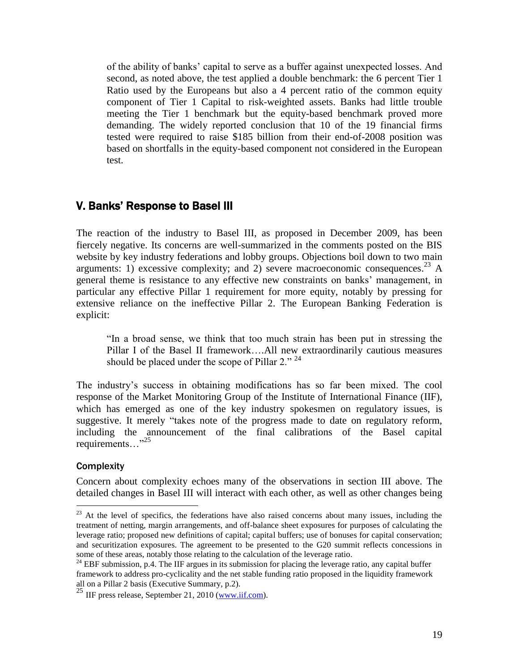of the ability of banks' capital to serve as a buffer against unexpected losses. And second, as noted above, the test applied a double benchmark: the 6 percent Tier 1 Ratio used by the Europeans but also a 4 percent ratio of the common equity component of Tier 1 Capital to risk-weighted assets. Banks had little trouble meeting the Tier 1 benchmark but the equity-based benchmark proved more demanding. The widely reported conclusion that 10 of the 19 financial firms tested were required to raise \$185 billion from their end-of-2008 position was based on shortfalls in the equity-based component not considered in the European test.

## V. Banks' Response to Basel III

The reaction of the industry to Basel III, as proposed in December 2009, has been fiercely negative. Its concerns are well-summarized in the comments posted on the BIS website by key industry federations and lobby groups. Objections boil down to two main arguments: 1) excessive complexity; and 2) severe macroeconomic consequences.<sup>23</sup> A general theme is resistance to any effective new constraints on banks' management, in particular any effective Pillar 1 requirement for more equity, notably by pressing for extensive reliance on the ineffective Pillar 2. The European Banking Federation is explicit:

"In a broad sense, we think that too much strain has been put in stressing the Pillar I of the Basel II framework….All new extraordinarily cautious measures should be placed under the scope of Pillar 2."  $24$ 

The industry's success in obtaining modifications has so far been mixed. The cool response of the Market Monitoring Group of the Institute of International Finance (IIF), which has emerged as one of the key industry spokesmen on regulatory issues, is suggestive. It merely "takes note of the progress made to date on regulatory reform, including the announcement of the final calibrations of the Basel capital requirements…"<sup>25</sup>

#### **Complexity**

 $\overline{a}$ 

Concern about complexity echoes many of the observations in section III above. The detailed changes in Basel III will interact with each other, as well as other changes being

 $^{23}$  At the level of specifics, the federations have also raised concerns about many issues, including the treatment of netting, margin arrangements, and off-balance sheet exposures for purposes of calculating the leverage ratio; proposed new definitions of capital; capital buffers; use of bonuses for capital conservation; and securitization exposures. The agreement to be presented to the G20 summit reflects concessions in some of these areas, notably those relating to the calculation of the leverage ratio.

<sup>&</sup>lt;sup>24</sup> EBF submission, p.4. The IIF argues in its submission for placing the leverage ratio, any capital buffer framework to address pro-cyclicality and the net stable funding ratio proposed in the liquidity framework all on a Pillar 2 basis (Executive Summary, p.2).

 $^{25}$  IIF press release, September 21, 2010 [\(www.iif.com\)](http://www.iif.com/).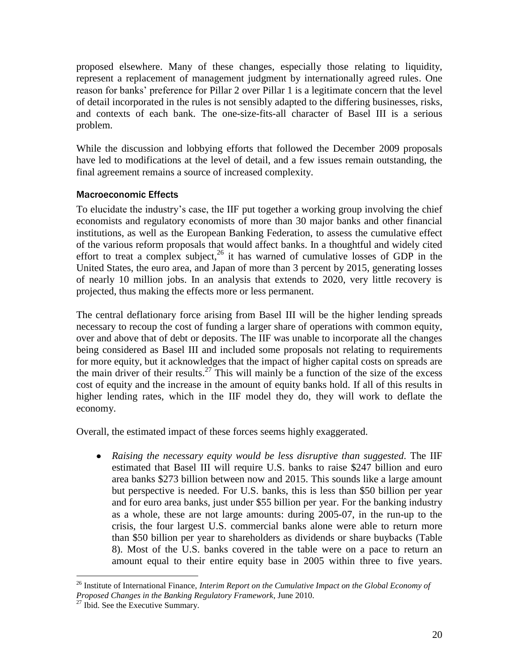proposed elsewhere. Many of these changes, especially those relating to liquidity, represent a replacement of management judgment by internationally agreed rules. One reason for banks' preference for Pillar 2 over Pillar 1 is a legitimate concern that the level of detail incorporated in the rules is not sensibly adapted to the differing businesses, risks, and contexts of each bank. The one-size-fits-all character of Basel III is a serious problem.

While the discussion and lobbying efforts that followed the December 2009 proposals have led to modifications at the level of detail, and a few issues remain outstanding, the final agreement remains a source of increased complexity.

### Macroeconomic Effects

To elucidate the industry's case, the IIF put together a working group involving the chief economists and regulatory economists of more than 30 major banks and other financial institutions, as well as the European Banking Federation, to assess the cumulative effect of the various reform proposals that would affect banks. In a thoughtful and widely cited effort to treat a complex subject, $^{26}$  it has warned of cumulative losses of GDP in the United States, the euro area, and Japan of more than 3 percent by 2015, generating losses of nearly 10 million jobs. In an analysis that extends to 2020, very little recovery is projected, thus making the effects more or less permanent.

The central deflationary force arising from Basel III will be the higher lending spreads necessary to recoup the cost of funding a larger share of operations with common equity, over and above that of debt or deposits. The IIF was unable to incorporate all the changes being considered as Basel III and included some proposals not relating to requirements for more equity, but it acknowledges that the impact of higher capital costs on spreads are the main driver of their results.<sup>27</sup> This will mainly be a function of the size of the excess cost of equity and the increase in the amount of equity banks hold. If all of this results in higher lending rates, which in the IIF model they do, they will work to deflate the economy.

Overall, the estimated impact of these forces seems highly exaggerated.

*Raising the necessary equity would be less disruptive than suggested*. The IIF estimated that Basel III will require U.S. banks to raise \$247 billion and euro area banks \$273 billion between now and 2015. This sounds like a large amount but perspective is needed. For U.S. banks, this is less than \$50 billion per year and for euro area banks, just under \$55 billion per year. For the banking industry as a whole, these are not large amounts: during 2005-07, in the run-up to the crisis, the four largest U.S. commercial banks alone were able to return more than \$50 billion per year to shareholders as dividends or share buybacks (Table 8). Most of the U.S. banks covered in the table were on a pace to return an amount equal to their entire equity base in 2005 within three to five years.

 $\overline{a}$ <sup>26</sup> Institute of International Finance, *Interim Report on the Cumulative Impact on the Global Economy of Proposed Changes in the Banking Regulatory Framework*, June 2010.

 $27$  Ibid. See the Executive Summary.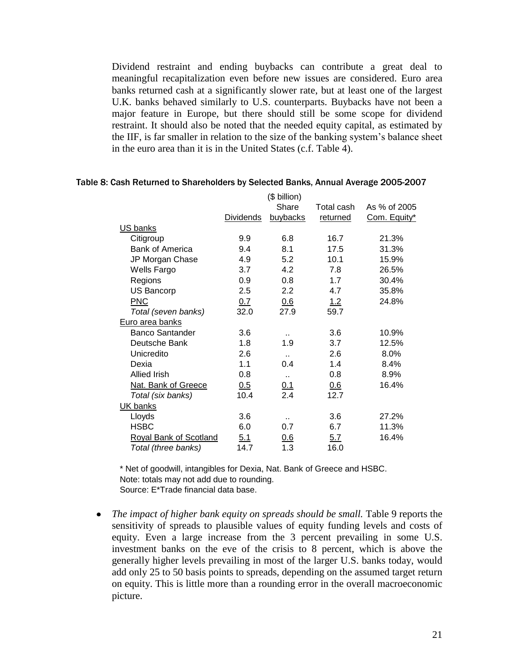Dividend restraint and ending buybacks can contribute a great deal to meaningful recapitalization even before new issues are considered. Euro area banks returned cash at a significantly slower rate, but at least one of the largest U.K. banks behaved similarly to U.S. counterparts. Buybacks have not been a major feature in Europe, but there should still be some scope for dividend restraint. It should also be noted that the needed equity capital, as estimated by the IIF, is far smaller in relation to the size of the banking system's balance sheet in the euro area than it is in the United States (c.f. Table 4).

|                               |                  | (\$ billion)<br>Share | Total cash | As % of 2005 |
|-------------------------------|------------------|-----------------------|------------|--------------|
|                               | <b>Dividends</b> | buybacks              | returned   | Com. Equity* |
| US banks                      |                  |                       |            |              |
| Citigroup                     | 9.9              | 6.8                   | 16.7       | 21.3%        |
| <b>Bank of America</b>        | 9.4              | 8.1                   | 17.5       | 31.3%        |
| JP Morgan Chase               | 4.9              | 5.2                   | 10.1       | 15.9%        |
| Wells Fargo                   | 3.7              | 4.2                   | 7.8        | 26.5%        |
| Regions                       | 0.9              | 0.8                   | 1.7        | 30.4%        |
| <b>US Bancorp</b>             | 2.5              | 2.2                   | 4.7        | 35.8%        |
| <b>PNC</b>                    | 0.7              | 0.6                   | 1.2        | 24.8%        |
| Total (seven banks)           | 32.0             | 27.9                  | 59.7       |              |
| Euro area banks               |                  |                       |            |              |
| <b>Banco Santander</b>        | 3.6              |                       | 3.6        | 10.9%        |
| Deutsche Bank                 | 1.8              | 1.9                   | 3.7        | 12.5%        |
| Unicredito                    | 2.6              |                       | 2.6        | 8.0%         |
| Dexia                         | 1.1              | 0.4                   | 1.4        | 8.4%         |
| <b>Allied Irish</b>           | 0.8              | $\ddot{\phantom{a}}$  | 0.8        | 8.9%         |
| Nat. Bank of Greece           | 0.5              |                       | 0.6        | 16.4%        |
| Total (six banks)             | 10.4             | $\frac{0.1}{2.4}$     | 12.7       |              |
| UK banks                      |                  |                       |            |              |
| Lloyds                        | 3.6              |                       | 3.6        | 27.2%        |
| <b>HSBC</b>                   | 6.0              | 0.7                   | 6.7        | 11.3%        |
| <b>Royal Bank of Scotland</b> | 5.1              | 0.6                   | 5.7        | 16.4%        |
| Total (three banks)           | 14.7             | 1.3                   | 16.0       |              |

#### Table 8: Cash Returned to Shareholders by Selected Banks, Annual Average 2005-2007

\* Net of goodwill, intangibles for Dexia, Nat. Bank of Greece and HSBC. Note: totals may not add due to rounding. Source: E\*Trade financial data base.

• *The impact of higher bank equity on spreads should be small.* Table 9 reports the sensitivity of spreads to plausible values of equity funding levels and costs of equity. Even a large increase from the 3 percent prevailing in some U.S. investment banks on the eve of the crisis to 8 percent, which is above the generally higher levels prevailing in most of the larger U.S. banks today, would add only 25 to 50 basis points to spreads, depending on the assumed target return on equity. This is little more than a rounding error in the overall macroeconomic picture.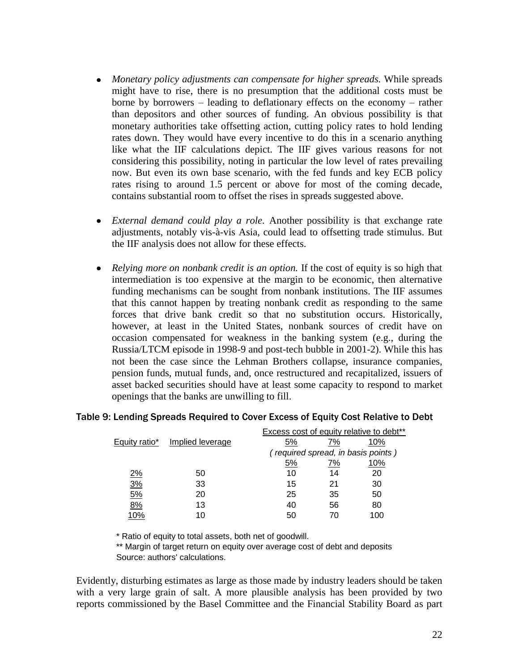- *Monetary policy adjustments can compensate for higher spreads.* While spreads might have to rise, there is no presumption that the additional costs must be borne by borrowers – leading to deflationary effects on the economy – rather than depositors and other sources of funding. An obvious possibility is that monetary authorities take offsetting action, cutting policy rates to hold lending rates down. They would have every incentive to do this in a scenario anything like what the IIF calculations depict. The IIF gives various reasons for not considering this possibility, noting in particular the low level of rates prevailing now. But even its own base scenario, with the fed funds and key ECB policy rates rising to around 1.5 percent or above for most of the coming decade, contains substantial room to offset the rises in spreads suggested above.
- *External demand could play a role.* Another possibility is that exchange rate adjustments, notably vis-à-vis Asia, could lead to offsetting trade stimulus. But the IIF analysis does not allow for these effects.
- *Relying more on nonbank credit is an option.* If the cost of equity is so high that intermediation is too expensive at the margin to be economic, then alternative funding mechanisms can be sought from nonbank institutions. The IIF assumes that this cannot happen by treating nonbank credit as responding to the same forces that drive bank credit so that no substitution occurs. Historically, however, at least in the United States, nonbank sources of credit have on occasion compensated for weakness in the banking system (e.g., during the Russia/LTCM episode in 1998-9 and post-tech bubble in 2001-2). While this has not been the case since the Lehman Brothers collapse, insurance companies, pension funds, mutual funds, and, once restructured and recapitalized, issuers of asset backed securities should have at least some capacity to respond to market openings that the banks are unwilling to fill.

|               |                  |                                    |    | Excess cost of equity relative to dept |  |  |
|---------------|------------------|------------------------------------|----|----------------------------------------|--|--|
| Equity ratio* | Implied leverage | 5%                                 | 7% | 10%                                    |  |  |
|               |                  | (required spread, in basis points) |    |                                        |  |  |
|               |                  | 5%                                 | 7% | 10%                                    |  |  |
| <u>2%</u>     | 50               | 10                                 | 14 | 20                                     |  |  |
| <u>3%</u>     | 33               | 15                                 | 21 | 30                                     |  |  |
| 5%            | 20               | 25                                 | 35 | 50                                     |  |  |
| 8%            | 13               | 40                                 | 56 | 80                                     |  |  |
| 10%           | 10               | 50                                 | 70 | 100                                    |  |  |

#### Table 9: Lending Spreads Required to Cover Excess of Equity Cost Relative to Debt Excess cost of equity relative to debt\*\*

\* Ratio of equity to total assets, both net of goodwill.

\*\* Margin of target return on equity over average cost of debt and deposits Source: authors' calculations.

Evidently, disturbing estimates as large as those made by industry leaders should be taken with a very large grain of salt. A more plausible analysis has been provided by two reports commissioned by the Basel Committee and the Financial Stability Board as part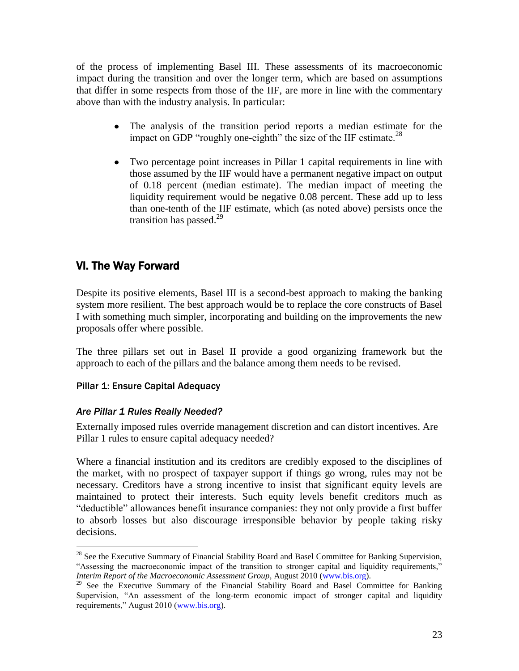of the process of implementing Basel III. These assessments of its macroeconomic impact during the transition and over the longer term, which are based on assumptions that differ in some respects from those of the IIF, are more in line with the commentary above than with the industry analysis. In particular:

- The analysis of the transition period reports a median estimate for the  $\bullet$ impact on GDP "roughly one-eighth" the size of the IIF estimate. $^{28}$
- Two percentage point increases in Pillar 1 capital requirements in line with those assumed by the IIF would have a permanent negative impact on output of 0.18 percent (median estimate). The median impact of meeting the liquidity requirement would be negative 0.08 percent. These add up to less than one-tenth of the IIF estimate, which (as noted above) persists once the transition has passed.<sup>29</sup>

# VI. The Way Forward

Despite its positive elements, Basel III is a second-best approach to making the banking system more resilient. The best approach would be to replace the core constructs of Basel I with something much simpler, incorporating and building on the improvements the new proposals offer where possible.

The three pillars set out in Basel II provide a good organizing framework but the approach to each of the pillars and the balance among them needs to be revised.

## Pillar 1: Ensure Capital Adequacy

### *Are Pillar 1 Rules Really Needed?*

 $\overline{a}$ 

Externally imposed rules override management discretion and can distort incentives. Are Pillar 1 rules to ensure capital adequacy needed?

Where a financial institution and its creditors are credibly exposed to the disciplines of the market, with no prospect of taxpayer support if things go wrong, rules may not be necessary. Creditors have a strong incentive to insist that significant equity levels are maintained to protect their interests. Such equity levels benefit creditors much as "deductible" allowances benefit insurance companies: they not only provide a first buffer to absorb losses but also discourage irresponsible behavior by people taking risky decisions.

<sup>&</sup>lt;sup>28</sup> See the Executive Summary of Financial Stability Board and Basel Committee for Banking Supervision, "Assessing the macroeconomic impact of the transition to stronger capital and liquidity requirements," *Interim Report of the Macroeconomic Assessment Group, August 2010* [\(www.bis.org\)](http://www.bis.org/).

<sup>&</sup>lt;sup>29</sup> See the Executive Summary of the Financial Stability Board and Basel Committee for Banking Supervision, "An assessment of the long-term economic impact of stronger capital and liquidity requirements," August 2010 [\(www.bis.org\)](http://www.bis.org/).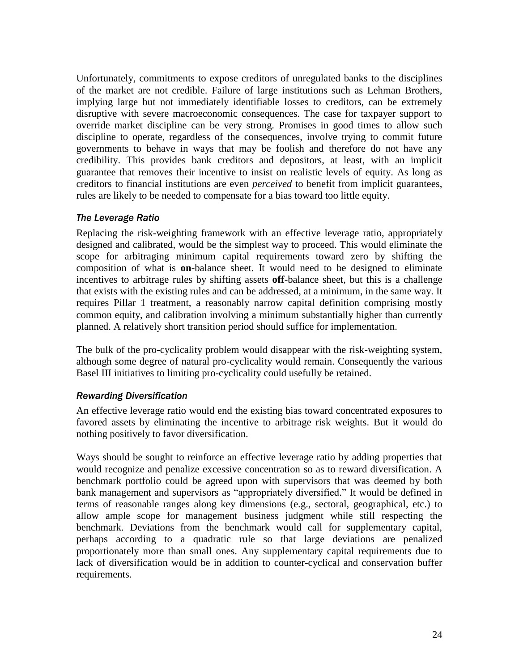Unfortunately, commitments to expose creditors of unregulated banks to the disciplines of the market are not credible. Failure of large institutions such as Lehman Brothers, implying large but not immediately identifiable losses to creditors, can be extremely disruptive with severe macroeconomic consequences. The case for taxpayer support to override market discipline can be very strong. Promises in good times to allow such discipline to operate, regardless of the consequences, involve trying to commit future governments to behave in ways that may be foolish and therefore do not have any credibility. This provides bank creditors and depositors, at least, with an implicit guarantee that removes their incentive to insist on realistic levels of equity. As long as creditors to financial institutions are even *perceived* to benefit from implicit guarantees, rules are likely to be needed to compensate for a bias toward too little equity.

#### *The Leverage Ratio*

Replacing the risk-weighting framework with an effective leverage ratio, appropriately designed and calibrated, would be the simplest way to proceed. This would eliminate the scope for arbitraging minimum capital requirements toward zero by shifting the composition of what is **on**-balance sheet. It would need to be designed to eliminate incentives to arbitrage rules by shifting assets **off**-balance sheet, but this is a challenge that exists with the existing rules and can be addressed, at a minimum, in the same way. It requires Pillar 1 treatment, a reasonably narrow capital definition comprising mostly common equity, and calibration involving a minimum substantially higher than currently planned. A relatively short transition period should suffice for implementation.

The bulk of the pro-cyclicality problem would disappear with the risk-weighting system, although some degree of natural pro-cyclicality would remain. Consequently the various Basel III initiatives to limiting pro-cyclicality could usefully be retained.

#### *Rewarding Diversification*

An effective leverage ratio would end the existing bias toward concentrated exposures to favored assets by eliminating the incentive to arbitrage risk weights. But it would do nothing positively to favor diversification.

Ways should be sought to reinforce an effective leverage ratio by adding properties that would recognize and penalize excessive concentration so as to reward diversification. A benchmark portfolio could be agreed upon with supervisors that was deemed by both bank management and supervisors as "appropriately diversified." It would be defined in terms of reasonable ranges along key dimensions (e.g., sectoral, geographical, etc.) to allow ample scope for management business judgment while still respecting the benchmark. Deviations from the benchmark would call for supplementary capital, perhaps according to a quadratic rule so that large deviations are penalized proportionately more than small ones. Any supplementary capital requirements due to lack of diversification would be in addition to counter-cyclical and conservation buffer requirements.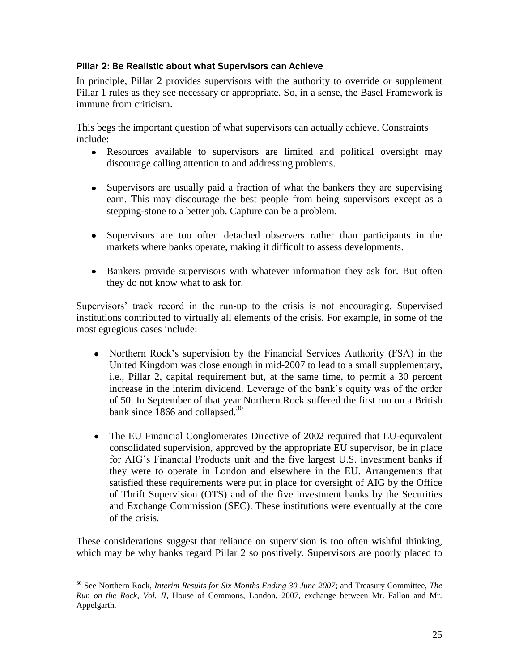#### Pillar 2: Be Realistic about what Supervisors can Achieve

In principle, Pillar 2 provides supervisors with the authority to override or supplement Pillar 1 rules as they see necessary or appropriate. So, in a sense, the Basel Framework is immune from criticism.

This begs the important question of what supervisors can actually achieve. Constraints include:

- Resources available to supervisors are limited and political oversight may discourage calling attention to and addressing problems.
- Supervisors are usually paid a fraction of what the bankers they are supervising earn. This may discourage the best people from being supervisors except as a stepping-stone to a better job. Capture can be a problem.
- Supervisors are too often detached observers rather than participants in the markets where banks operate, making it difficult to assess developments.
- Bankers provide supervisors with whatever information they ask for. But often they do not know what to ask for.

Supervisors' track record in the run-up to the crisis is not encouraging. Supervised institutions contributed to virtually all elements of the crisis. For example, in some of the most egregious cases include:

- Northern Rock's supervision by the Financial Services Authority (FSA) in the United Kingdom was close enough in mid-2007 to lead to a small supplementary, i.e., Pillar 2, capital requirement but, at the same time, to permit a 30 percent increase in the interim dividend. Leverage of the bank's equity was of the order of 50. In September of that year Northern Rock suffered the first run on a British bank since 1866 and collapsed.<sup>30</sup>
- $\bullet$ The EU Financial Conglomerates Directive of 2002 required that EU-equivalent consolidated supervision, approved by the appropriate EU supervisor, be in place for AIG's Financial Products unit and the five largest U.S. investment banks if they were to operate in London and elsewhere in the EU. Arrangements that satisfied these requirements were put in place for oversight of AIG by the Office of Thrift Supervision (OTS) and of the five investment banks by the Securities and Exchange Commission (SEC). These institutions were eventually at the core of the crisis.

These considerations suggest that reliance on supervision is too often wishful thinking, which may be why banks regard Pillar 2 so positively. Supervisors are poorly placed to

<sup>30</sup> See Northern Rock, *Interim Results for Six Months Ending 30 June 2007*; and Treasury Committee, *The Run on the Rock*, *Vol. II*, House of Commons, London, 2007, exchange between Mr. Fallon and Mr. Appelgarth.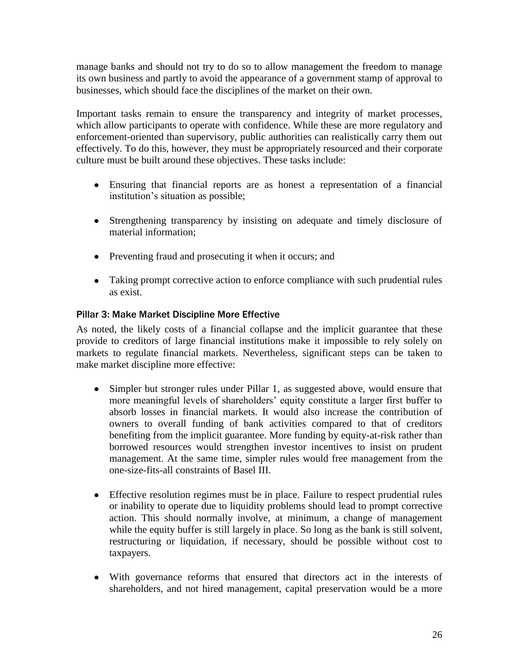manage banks and should not try to do so to allow management the freedom to manage its own business and partly to avoid the appearance of a government stamp of approval to businesses, which should face the disciplines of the market on their own.

Important tasks remain to ensure the transparency and integrity of market processes, which allow participants to operate with confidence. While these are more regulatory and enforcement-oriented than supervisory, public authorities can realistically carry them out effectively. To do this, however, they must be appropriately resourced and their corporate culture must be built around these objectives. These tasks include:

- Ensuring that financial reports are as honest a representation of a financial institution's situation as possible;
- Strengthening transparency by insisting on adequate and timely disclosure of material information;
- Preventing fraud and prosecuting it when it occurs; and
- Taking prompt corrective action to enforce compliance with such prudential rules as exist.

### Pillar 3: Make Market Discipline More Effective

As noted, the likely costs of a financial collapse and the implicit guarantee that these provide to creditors of large financial institutions make it impossible to rely solely on markets to regulate financial markets. Nevertheless, significant steps can be taken to make market discipline more effective:

- Simpler but stronger rules under Pillar 1, as suggested above, would ensure that more meaningful levels of shareholders' equity constitute a larger first buffer to absorb losses in financial markets. It would also increase the contribution of owners to overall funding of bank activities compared to that of creditors benefiting from the implicit guarantee. More funding by equity-at-risk rather than borrowed resources would strengthen investor incentives to insist on prudent management. At the same time, simpler rules would free management from the one-size-fits-all constraints of Basel III.
- Effective resolution regimes must be in place. Failure to respect prudential rules or inability to operate due to liquidity problems should lead to prompt corrective action. This should normally involve, at minimum, a change of management while the equity buffer is still largely in place. So long as the bank is still solvent, restructuring or liquidation, if necessary, should be possible without cost to taxpayers.
- With governance reforms that ensured that directors act in the interests of shareholders, and not hired management, capital preservation would be a more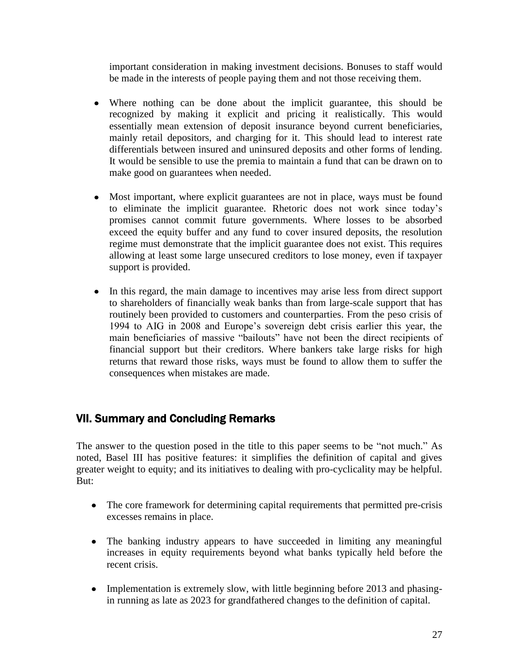important consideration in making investment decisions. Bonuses to staff would be made in the interests of people paying them and not those receiving them.

- Where nothing can be done about the implicit guarantee, this should be recognized by making it explicit and pricing it realistically. This would essentially mean extension of deposit insurance beyond current beneficiaries, mainly retail depositors, and charging for it. This should lead to interest rate differentials between insured and uninsured deposits and other forms of lending. It would be sensible to use the premia to maintain a fund that can be drawn on to make good on guarantees when needed.
- Most important, where explicit guarantees are not in place, ways must be found to eliminate the implicit guarantee. Rhetoric does not work since today's promises cannot commit future governments. Where losses to be absorbed exceed the equity buffer and any fund to cover insured deposits, the resolution regime must demonstrate that the implicit guarantee does not exist. This requires allowing at least some large unsecured creditors to lose money, even if taxpayer support is provided.
- In this regard, the main damage to incentives may arise less from direct support to shareholders of financially weak banks than from large-scale support that has routinely been provided to customers and counterparties. From the peso crisis of 1994 to AIG in 2008 and Europe's sovereign debt crisis earlier this year, the main beneficiaries of massive "bailouts" have not been the direct recipients of financial support but their creditors. Where bankers take large risks for high returns that reward those risks, ways must be found to allow them to suffer the consequences when mistakes are made.

# VII. Summary and Concluding Remarks

The answer to the question posed in the title to this paper seems to be "not much." As noted, Basel III has positive features: it simplifies the definition of capital and gives greater weight to equity; and its initiatives to dealing with pro-cyclicality may be helpful. But:

- The core framework for determining capital requirements that permitted pre-crisis excesses remains in place.
- The banking industry appears to have succeeded in limiting any meaningful increases in equity requirements beyond what banks typically held before the recent crisis.
- Implementation is extremely slow, with little beginning before 2013 and phasingin running as late as 2023 for grandfathered changes to the definition of capital.